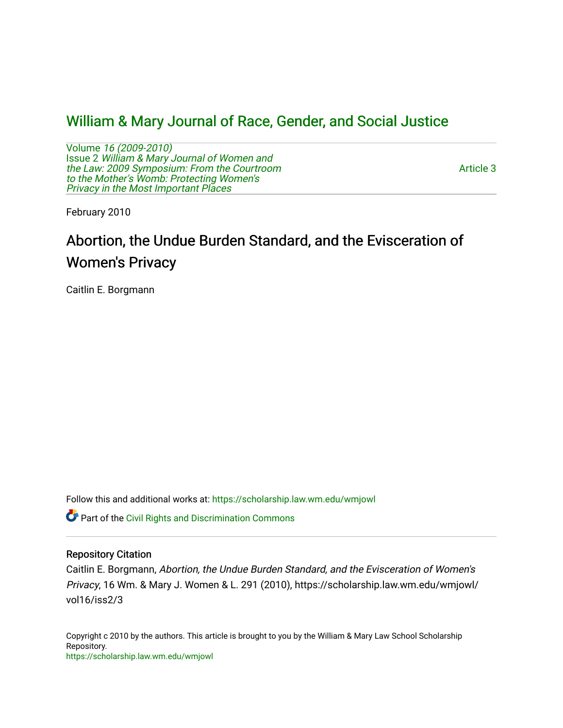# [William & Mary Journal of Race, Gender, and Social Justice](https://scholarship.law.wm.edu/wmjowl)

Volume [16 \(2009-2010\)](https://scholarship.law.wm.edu/wmjowl/vol16)  Issue 2 [William & Mary Journal of Women and](https://scholarship.law.wm.edu/wmjowl/vol16/iss2) [the Law: 2009 Symposium: From the Courtroom](https://scholarship.law.wm.edu/wmjowl/vol16/iss2)  [to the Mother's Womb: Protecting Women's](https://scholarship.law.wm.edu/wmjowl/vol16/iss2) [Privacy in the Most Important Places](https://scholarship.law.wm.edu/wmjowl/vol16/iss2) 

[Article 3](https://scholarship.law.wm.edu/wmjowl/vol16/iss2/3) 

February 2010

# Abortion, the Undue Burden Standard, and the Evisceration of Women's Privacy

Caitlin E. Borgmann

Follow this and additional works at: [https://scholarship.law.wm.edu/wmjowl](https://scholarship.law.wm.edu/wmjowl?utm_source=scholarship.law.wm.edu%2Fwmjowl%2Fvol16%2Fiss2%2F3&utm_medium=PDF&utm_campaign=PDFCoverPages) 

**C** Part of the Civil Rights and Discrimination Commons

# Repository Citation

Caitlin E. Borgmann, Abortion, the Undue Burden Standard, and the Evisceration of Women's Privacy, 16 Wm. & Mary J. Women & L. 291 (2010), https://scholarship.law.wm.edu/wmjowl/ vol16/iss2/3

Copyright c 2010 by the authors. This article is brought to you by the William & Mary Law School Scholarship Repository. <https://scholarship.law.wm.edu/wmjowl>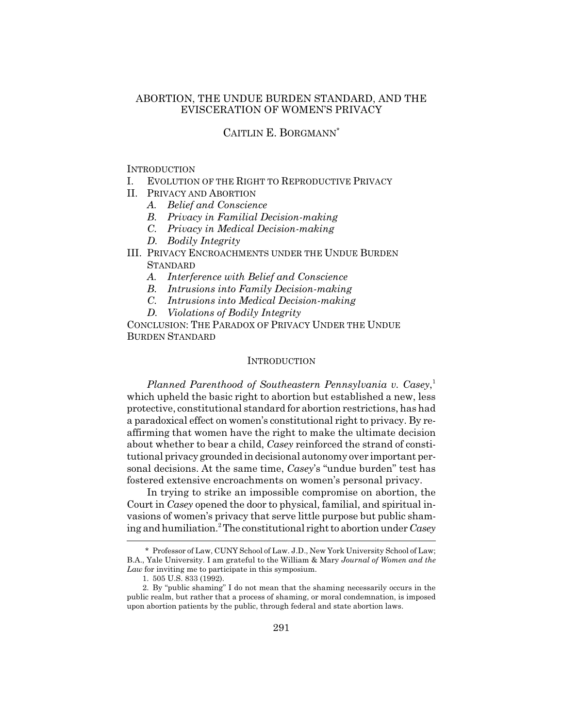# ABORTION, THE UNDUE BURDEN STANDARD, AND THE EVISCERATION OF WOMEN'S PRIVACY

# CAITLIN E. BORGMANN\*

#### **INTRODUCTION**

- I. EVOLUTION OF THE RIGHT TO REPRODUCTIVE PRIVACY
- II. PRIVACY AND ABORTION
	- *A. Belief and Conscience*
	- *B. Privacy in Familial Decision-making*
	- *C. Privacy in Medical Decision-making*
	- *D. Bodily Integrity*
- III. PRIVACY ENCROACHMENTS UNDER THE UNDUE BURDEN **STANDARD** 
	- *A. Interference with Belief and Conscience*
	- *B. Intrusions into Family Decision-making*
	- *C. Intrusions into Medical Decision-making*
	- *D. Violations of Bodily Integrity*

CONCLUSION: THE PARADOX OF PRIVACY UNDER THE UNDUE BURDEN STANDARD

#### **INTRODUCTION**

*Planned Parenthood of Southeastern Pennsylvania v. Casey*, 1 which upheld the basic right to abortion but established a new, less protective, constitutional standard for abortion restrictions, has had a paradoxical effect on women's constitutional right to privacy. By reaffirming that women have the right to make the ultimate decision about whether to bear a child, *Casey* reinforced the strand of constitutional privacy grounded in decisional autonomy over important personal decisions. At the same time, *Casey*'s "undue burden" test has fostered extensive encroachments on women's personal privacy.

In trying to strike an impossible compromise on abortion, the Court in *Casey* opened the door to physical, familial, and spiritual invasions of women's privacy that serve little purpose but public shaming and humiliation.2 The constitutional right to abortion under *Casey*

<sup>\*</sup> Professor of Law, CUNY School of Law. J.D., New York University School of Law; B.A., Yale University. I am grateful to the William & Mary *Journal of Women and the Law* for inviting me to participate in this symposium.

<sup>1. 505</sup> U.S. 833 (1992).

<sup>2.</sup> By "public shaming" I do not mean that the shaming necessarily occurs in the public realm, but rather that a process of shaming, or moral condemnation, is imposed upon abortion patients by the public, through federal and state abortion laws.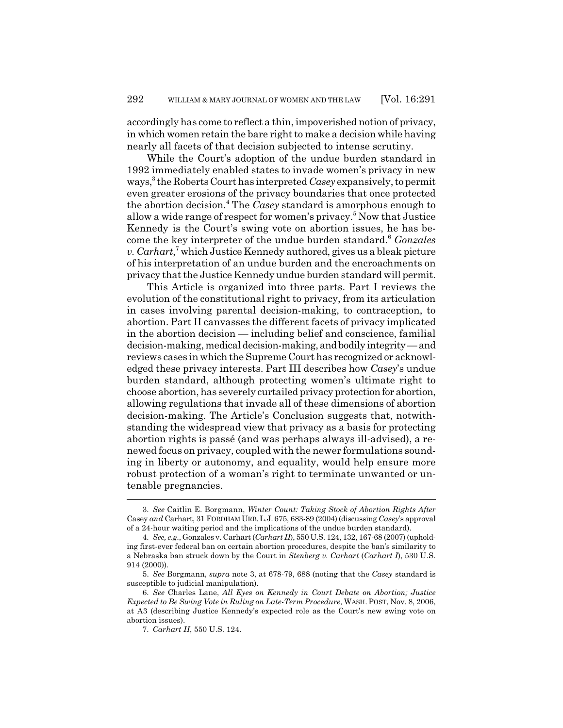accordingly has come to reflect a thin, impoverished notion of privacy, in which women retain the bare right to make a decision while having nearly all facets of that decision subjected to intense scrutiny.

While the Court's adoption of the undue burden standard in 1992 immediately enabled states to invade women's privacy in new ways,3 the Roberts Court has interpreted *Casey* expansively, to permit even greater erosions of the privacy boundaries that once protected the abortion decision.<sup>4</sup> The *Casey* standard is amorphous enough to allow a wide range of respect for women's privacy.<sup>5</sup> Now that Justice Kennedy is the Court's swing vote on abortion issues, he has become the key interpreter of the undue burden standard.6 *Gonzales* v. Carhart,<sup>7</sup> which Justice Kennedy authored, gives us a bleak picture of his interpretation of an undue burden and the encroachments on privacy that the Justice Kennedy undue burden standard will permit.

This Article is organized into three parts. Part I reviews the evolution of the constitutional right to privacy, from its articulation in cases involving parental decision-making, to contraception, to abortion. Part II canvasses the different facets of privacy implicated in the abortion decision — including belief and conscience, familial decision-making, medical decision-making, and bodily integrity — and reviews cases in which the Supreme Court has recognized or acknowledged these privacy interests. Part III describes how *Casey*'s undue burden standard, although protecting women's ultimate right to choose abortion, has severely curtailed privacy protection for abortion, allowing regulations that invade all of these dimensions of abortion decision-making. The Article's Conclusion suggests that, notwithstanding the widespread view that privacy as a basis for protecting abortion rights is passé (and was perhaps always ill-advised), a renewed focus on privacy, coupled with the newer formulations sounding in liberty or autonomy, and equality, would help ensure more robust protection of a woman's right to terminate unwanted or untenable pregnancies.

<sup>3.</sup> *See* Caitlin E. Borgmann, *Winter Count: Taking Stock of Abortion Rights After* Casey *and* Carhart, 31 FORDHAM URB.L.J. 675, 683-89 (2004) (discussing *Casey*'s approval of a 24-hour waiting period and the implications of the undue burden standard).

<sup>4.</sup> *See, e.g.*, Gonzales v. Carhart (*Carhart II*), 550 U.S. 124, 132, 167-68 (2007) (upholding first-ever federal ban on certain abortion procedures, despite the ban's similarity to a Nebraska ban struck down by the Court in *Stenberg v. Carhart* (*Carhart I*), 530 U.S. 914 (2000)).

<sup>5.</sup> *See* Borgmann, *supra* note 3, at 678-79, 688 (noting that the *Casey* standard is susceptible to judicial manipulation).

<sup>6.</sup> *See* Charles Lane, *All Eyes on Kennedy in Court Debate on Abortion; Justice Expected to Be Swing Vote in Ruling on Late-Term Procedure*, WASH.POST, Nov. 8, 2006, at A3 (describing Justice Kennedy's expected role as the Court's new swing vote on abortion issues).

<sup>7.</sup> *Carhart II*, 550 U.S. 124.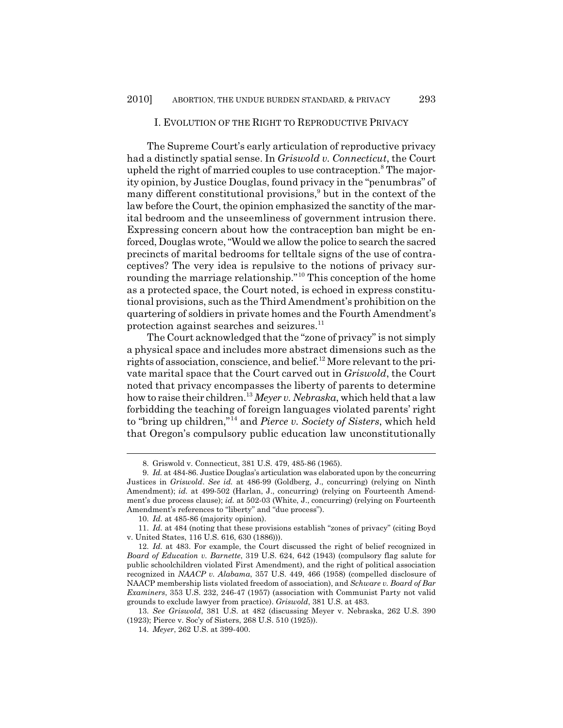#### I. EVOLUTION OF THE RIGHT TO REPRODUCTIVE PRIVACY

The Supreme Court's early articulation of reproductive privacy had a distinctly spatial sense. In *Griswold v. Connecticut*, the Court upheld the right of married couples to use contraception.<sup>8</sup> The majority opinion, by Justice Douglas, found privacy in the "penumbras" of many different constitutional provisions,<sup>9</sup> but in the context of the law before the Court, the opinion emphasized the sanctity of the marital bedroom and the unseemliness of government intrusion there. Expressing concern about how the contraception ban might be enforced, Douglas wrote, "Would we allow the police to search the sacred precincts of marital bedrooms for telltale signs of the use of contraceptives? The very idea is repulsive to the notions of privacy surrounding the marriage relationship."10 This conception of the home as a protected space, the Court noted, is echoed in express constitutional provisions, such as the Third Amendment's prohibition on the quartering of soldiers in private homes and the Fourth Amendment's protection against searches and seizures.<sup>11</sup>

The Court acknowledged that the "zone of privacy" is not simply a physical space and includes more abstract dimensions such as the rights of association, conscience, and belief.<sup>12</sup> More relevant to the private marital space that the Court carved out in *Griswold*, the Court noted that privacy encompasses the liberty of parents to determine how to raise their children.13 *Meyer v. Nebraska*, which held that a law forbidding the teaching of foreign languages violated parents' right to "bring up children,"14 and *Pierce v. Society of Sisters*, which held that Oregon's compulsory public education law unconstitutionally

<sup>8.</sup> Griswold v. Connecticut, 381 U.S. 479, 485-86 (1965).

<sup>9.</sup> *Id.* at 484-86. Justice Douglas's articulation was elaborated upon by the concurring Justices in *Griswold*. *See id.* at 486-99 (Goldberg, J., concurring) (relying on Ninth Amendment); *id.* at 499-502 (Harlan, J., concurring) (relying on Fourteenth Amendment's due process clause); *id.* at 502-03 (White, J., concurring) (relying on Fourteenth Amendment's references to "liberty" and "due process").

<sup>10.</sup> *Id.* at 485-86 (majority opinion).

<sup>11.</sup> *Id.* at 484 (noting that these provisions establish "zones of privacy" (citing Boyd v. United States, 116 U.S. 616, 630 (1886))).

<sup>12.</sup> *Id.* at 483. For example, the Court discussed the right of belief recognized in *Board of Education v. Barnette*, 319 U.S. 624, 642 (1943) (compulsory flag salute for public schoolchildren violated First Amendment), and the right of political association recognized in *NAACP v. Alabama*, 357 U.S. 449, 466 (1958) (compelled disclosure of NAACP membership lists violated freedom of association), and *Schware v. Board of Bar Examiners*, 353 U.S. 232, 246-47 (1957) (association with Communist Party not valid grounds to exclude lawyer from practice). *Griswold*, 381 U.S. at 483.

<sup>13.</sup> *See Griswold*, 381 U.S. at 482 (discussing Meyer v. Nebraska, 262 U.S. 390 (1923); Pierce v. Soc'y of Sisters, 268 U.S. 510 (1925)).

<sup>14.</sup> *Meyer*, 262 U.S. at 399-400.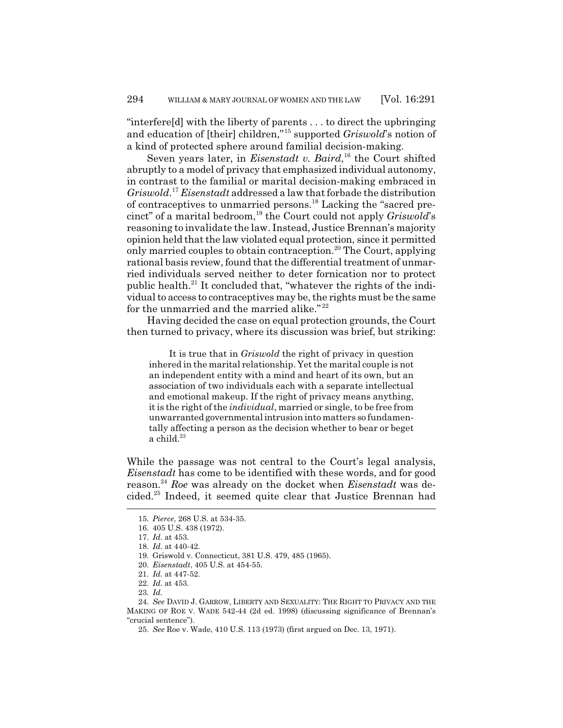"interfere[d] with the liberty of parents . . . to direct the upbringing and education of [their] children,"15 supported *Griswold*'s notion of a kind of protected sphere around familial decision-making.

Seven years later, in *Eisenstadt v. Baird*,<sup>16</sup> the Court shifted abruptly to a model of privacy that emphasized individual autonomy, in contrast to the familial or marital decision-making embraced in *Griswold*. <sup>17</sup> *Eisenstadt* addressed a law that forbade the distribution of contraceptives to unmarried persons.18 Lacking the "sacred precinct" of a marital bedroom,<sup>19</sup> the Court could not apply *Griswold*'s reasoning to invalidate the law. Instead, Justice Brennan's majority opinion held that the law violated equal protection, since it permitted only married couples to obtain contraception.<sup>20</sup> The Court, applying rational basis review, found that the differential treatment of unmarried individuals served neither to deter fornication nor to protect public health. $^{21}$  It concluded that, "whatever the rights of the individual to access to contraceptives may be, the rights must be the same for the unmarried and the married alike."<sup>22</sup>

Having decided the case on equal protection grounds, the Court then turned to privacy, where its discussion was brief, but striking:

It is true that in *Griswold* the right of privacy in question inhered in the marital relationship. Yet the marital couple is not an independent entity with a mind and heart of its own, but an association of two individuals each with a separate intellectual and emotional makeup. If the right of privacy means anything, it is the right of the *individual*, married or single, to be free from unwarranted governmental intrusion into matters so fundamentally affecting a person as the decision whether to bear or beget a child. $23$ 

While the passage was not central to the Court's legal analysis, *Eisenstadt* has come to be identified with these words, and for good reason.24 *Roe* was already on the docket when *Eisenstadt* was decided.25 Indeed, it seemed quite clear that Justice Brennan had

25. *See* Roe v. Wade, 410 U.S. 113 (1973) (first argued on Dec. 13, 1971).

<sup>15.</sup> *Pierce*, 268 U.S. at 534-35.

<sup>16. 405</sup> U.S. 438 (1972).

<sup>17.</sup> *Id.* at 453.

<sup>18.</sup> *Id.* at 440-42.

<sup>19.</sup> Griswold v. Connecticut, 381 U.S. 479, 485 (1965).

<sup>20.</sup> *Eisenstadt*, 405 U.S. at 454-55.

<sup>21.</sup> *Id.* at 447-52.

<sup>22.</sup> *Id.* at 453.

<sup>23.</sup> *Id.*

<sup>24.</sup> *See* DAVID J. GARROW, LIBERTY AND SEXUALITY: THE RIGHT TO PRIVACY AND THE MAKING OF ROE V. WADE 542-44 (2d ed. 1998) (discussing significance of Brennan's "crucial sentence").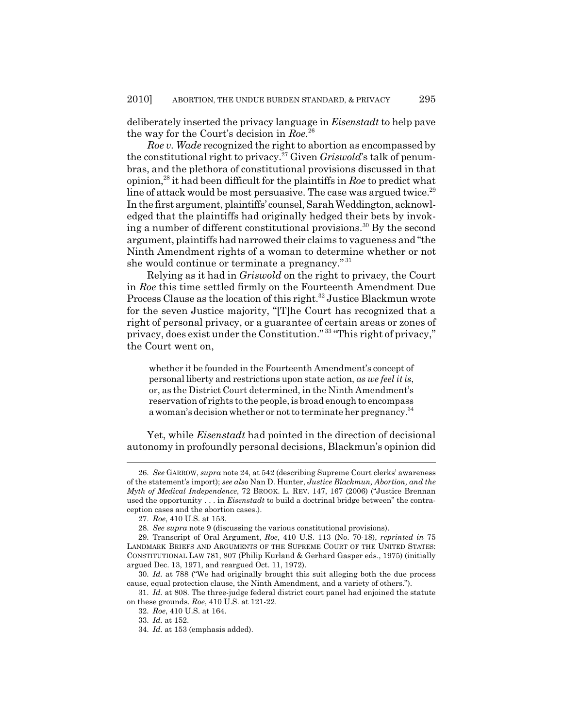deliberately inserted the privacy language in *Eisenstadt* to help pave the way for the Court's decision in *Roe*. 26

*Roe v. Wade* recognized the right to abortion as encompassed by the constitutional right to privacy.27 Given *Griswold*'s talk of penumbras, and the plethora of constitutional provisions discussed in that opinion,28 it had been difficult for the plaintiffs in *Roe* to predict what line of attack would be most persuasive. The case was argued twice.<sup>29</sup> In the first argument, plaintiffs' counsel, Sarah Weddington, acknowledged that the plaintiffs had originally hedged their bets by invoking a number of different constitutional provisions.<sup>30</sup> By the second argument, plaintiffs had narrowed their claims to vagueness and "the Ninth Amendment rights of a woman to determine whether or not she would continue or terminate a pregnancy." <sup>31</sup>

Relying as it had in *Griswold* on the right to privacy, the Court in *Roe* this time settled firmly on the Fourteenth Amendment Due Process Clause as the location of this right.<sup>32</sup> Justice Blackmun wrote for the seven Justice majority, "[T]he Court has recognized that a right of personal privacy, or a guarantee of certain areas or zones of privacy, does exist under the Constitution." 33 "This right of privacy," the Court went on,

whether it be founded in the Fourteenth Amendment's concept of personal liberty and restrictions upon state action, *as we feel it is*, or, as the District Court determined, in the Ninth Amendment's reservation of rights to the people, is broad enough to encompass a woman's decision whether or not to terminate her pregnancy.<sup>34</sup>

Yet, while *Eisenstadt* had pointed in the direction of decisional autonomy in profoundly personal decisions, Blackmun's opinion did

<sup>26.</sup> *See* GARROW, *supra* note 24, at 542 (describing Supreme Court clerks' awareness of the statement's import); *see also* Nan D. Hunter, *Justice Blackmun, Abortion, and the Myth of Medical Independence*, 72 BROOK. L. REV. 147, 167 (2006) ("Justice Brennan used the opportunity . . . in *Eisenstadt* to build a doctrinal bridge between" the contraception cases and the abortion cases.).

<sup>27.</sup> *Roe*, 410 U.S. at 153.

<sup>28.</sup> *See supra* note 9 (discussing the various constitutional provisions).

<sup>29.</sup> Transcript of Oral Argument, *Roe*, 410 U.S. 113 (No. 70-18), *reprinted in* 75 LANDMARK BRIEFS AND ARGUMENTS OF THE SUPREME COURT OF THE UNITED STATES: CONSTITUTIONAL LAW 781, 807 (Philip Kurland & Gerhard Gasper eds., 1975) (initially argued Dec. 13, 1971, and reargued Oct. 11, 1972).

<sup>30.</sup> *Id.* at 788 ("We had originally brought this suit alleging both the due process cause, equal protection clause, the Ninth Amendment, and a variety of others.").

<sup>31.</sup> *Id.* at 808. The three-judge federal district court panel had enjoined the statute on these grounds. *Roe*, 410 U.S. at 121-22.

<sup>32.</sup> *Roe*, 410 U.S. at 164.

<sup>33.</sup> *Id.* at 152.

<sup>34.</sup> *Id.* at 153 (emphasis added).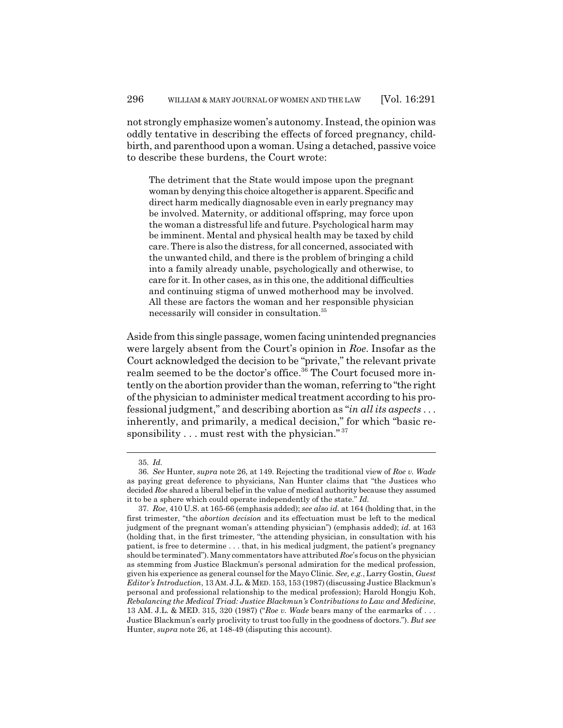not strongly emphasize women's autonomy. Instead, the opinion was oddly tentative in describing the effects of forced pregnancy, childbirth, and parenthood upon a woman. Using a detached, passive voice to describe these burdens, the Court wrote:

The detriment that the State would impose upon the pregnant woman by denying this choice altogether is apparent. Specific and direct harm medically diagnosable even in early pregnancy may be involved. Maternity, or additional offspring, may force upon the woman a distressful life and future. Psychological harm may be imminent. Mental and physical health may be taxed by child care. There is also the distress, for all concerned, associated with the unwanted child, and there is the problem of bringing a child into a family already unable, psychologically and otherwise, to care for it. In other cases, as in this one, the additional difficulties and continuing stigma of unwed motherhood may be involved. All these are factors the woman and her responsible physician necessarily will consider in consultation.35

Aside from this single passage, women facing unintended pregnancies were largely absent from the Court's opinion in *Roe*. Insofar as the Court acknowledged the decision to be "private," the relevant private realm seemed to be the doctor's office.<sup>36</sup> The Court focused more intently on the abortion provider than the woman, referring to "the right of the physician to administer medical treatment according to his professional judgment," and describing abortion as "*in all its aspects* . . . inherently, and primarily, a medical decision," for which "basic responsibility  $\dots$  must rest with the physician."<sup>37</sup>

<sup>35.</sup> *Id.*

<sup>36.</sup> *See* Hunter, *supra* note 26, at 149. Rejecting the traditional view of *Roe v. Wade* as paying great deference to physicians, Nan Hunter claims that "the Justices who decided *Roe* shared a liberal belief in the value of medical authority because they assumed it to be a sphere which could operate independently of the state." *Id.*

<sup>37.</sup> *Roe*, 410 U.S. at 165-66 (emphasis added); *see also id.* at 164 (holding that, in the first trimester, "the *abortion decision* and its effectuation must be left to the medical judgment of the pregnant woman's attending physician") (emphasis added); *id.* at 163 (holding that, in the first trimester, "the attending physician, in consultation with his patient, is free to determine . . . that, in his medical judgment, the patient's pregnancy should be terminated"). Many commentators have attributed *Roe*'s focus on the physician as stemming from Justice Blackmun's personal admiration for the medical profession, given his experience as general counsel for the Mayo Clinic. *See, e.g.*, Larry Gostin, *Guest* Editor's Introduction, 13 AM. J.L. & MED. 153, 153 (1987) (discussing Justice Blackmun's personal and professional relationship to the medical profession); Harold Hongju Koh, *Rebalancing the Medical Triad: Justice Blackmun's Contributions to Law and Medicine*, 13 AM. J.L. & MED. 315, 320 (1987) ("*Roe v. Wade* bears many of the earmarks of . . . Justice Blackmun's early proclivity to trust too fully in the goodness of doctors."). *But see* Hunter, *supra* note 26, at 148-49 (disputing this account).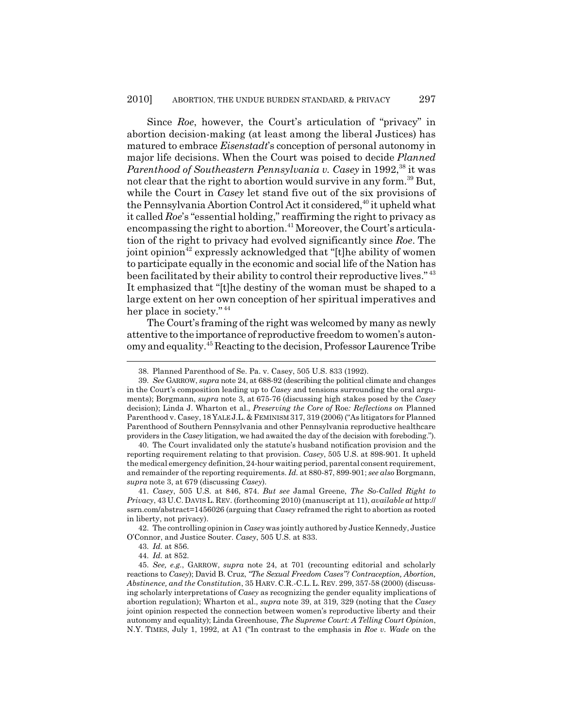Since *Roe*, however, the Court's articulation of "privacy" in abortion decision-making (at least among the liberal Justices) has matured to embrace *Eisenstadt*'s conception of personal autonomy in major life decisions. When the Court was poised to decide *Planned Parenthood of Southeastern Pennsylvania v. Casey* in 1992,<sup>38</sup> it was not clear that the right to abortion would survive in any form.<sup>39</sup> But, while the Court in *Casey* let stand five out of the six provisions of the Pennsylvania Abortion Control Act it considered,<sup>40</sup> it upheld what it called *Roe*'s "essential holding," reaffirming the right to privacy as encompassing the right to abortion.<sup>41</sup> Moreover, the Court's articulation of the right to privacy had evolved significantly since *Roe*. The joint opinion<sup>42</sup> expressly acknowledged that "[t]he ability of women to participate equally in the economic and social life of the Nation has been facilitated by their ability to control their reproductive lives."<sup>43</sup> It emphasized that "[t]he destiny of the woman must be shaped to a large extent on her own conception of her spiritual imperatives and her place in society."<sup>44</sup>

The Court's framing of the right was welcomed by many as newly attentive to the importance of reproductive freedom to women's autonomy and equality.45 Reacting to the decision, Professor Laurence Tribe

40. The Court invalidated only the statute's husband notification provision and the reporting requirement relating to that provision. *Casey*, 505 U.S. at 898-901. It upheld the medical emergency definition, 24-hour waiting period, parental consent requirement, and remainder of the reporting requirements. *Id.* at 880-87, 899-901; *see also* Borgmann, *supra* note 3, at 679 (discussing *Casey*).

42. The controlling opinion in *Casey* was jointly authored by Justice Kennedy, Justice O'Connor, and Justice Souter. *Casey*, 505 U.S. at 833.

<sup>38.</sup> Planned Parenthood of Se. Pa. v. Casey, 505 U.S. 833 (1992).

<sup>39.</sup> *See* GARROW, *supra* note 24, at 688-92 (describing the political climate and changes in the Court's composition leading up to *Casey* and tensions surrounding the oral arguments); Borgmann, *supra* note 3, at 675-76 (discussing high stakes posed by the *Casey* decision); Linda J. Wharton et al., *Preserving the Core of* Roe*: Reflections on* Planned Parenthood v. Casey, 18 YALE J.L. & FEMINISM 317, 319 (2006) ("As litigators for Planned Parenthood of Southern Pennsylvania and other Pennsylvania reproductive healthcare providers in the *Casey* litigation, we had awaited the day of the decision with foreboding.").

<sup>41.</sup> *Casey*, 505 U.S. at 846, 874. *But see* Jamal Greene, *The So-Called Right to Privacy*, 43 U.C. DAVIS L. REV. (forthcoming 2010) (manuscript at 11), *available at* http:// ssrn.com/abstract=1456026 (arguing that *Casey* reframed the right to abortion as rooted in liberty, not privacy).

<sup>43.</sup> *Id.* at 856.

<sup>44.</sup> *Id.* at 852.

<sup>45.</sup> *See, e.g.*, GARROW, *supra* note 24, at 701 (recounting editorial and scholarly reactions to *Casey*); David B. Cruz, *"The Sexual Freedom Cases"? Contraception, Abortion, Abstinence, and the Constitution*, 35 HARV. C.R.-C.L.L. REV. 299, 357-58 (2000) (discussing scholarly interpretations of *Casey* as recognizing the gender equality implications of abortion regulation); Wharton et al., *supra* note 39, at 319, 329 (noting that the *Casey* joint opinion respected the connection between women's reproductive liberty and their autonomy and equality); Linda Greenhouse, *The Supreme Court: A Telling Court Opinion*, N.Y. TIMES, July 1, 1992, at A1 ("In contrast to the emphasis in *Roe v. Wade* on the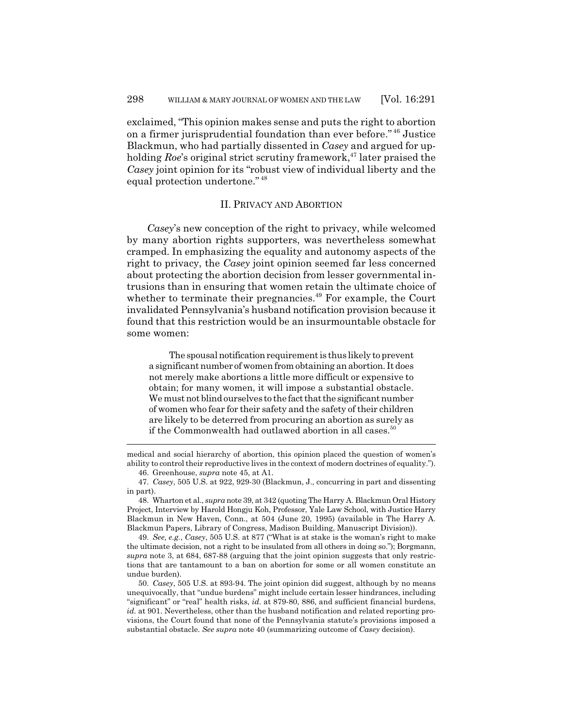exclaimed, "This opinion makes sense and puts the right to abortion on a firmer jurisprudential foundation than ever before." 46 Justice Blackmun, who had partially dissented in *Casey* and argued for upholding *Roe*'s original strict scrutiny framework,<sup>47</sup> later praised the *Casey* joint opinion for its "robust view of individual liberty and the equal protection undertone." <sup>48</sup>

## II. PRIVACY AND ABORTION

*Casey*'s new conception of the right to privacy, while welcomed by many abortion rights supporters, was nevertheless somewhat cramped. In emphasizing the equality and autonomy aspects of the right to privacy, the *Casey* joint opinion seemed far less concerned about protecting the abortion decision from lesser governmental intrusions than in ensuring that women retain the ultimate choice of whether to terminate their pregnancies.<sup>49</sup> For example, the Court invalidated Pennsylvania's husband notification provision because it found that this restriction would be an insurmountable obstacle for some women:

The spousal notification requirement is thus likely to prevent a significant number of women from obtaining an abortion. It does not merely make abortions a little more difficult or expensive to obtain; for many women, it will impose a substantial obstacle. We must not blind ourselves to the fact that the significant number of women who fear for their safety and the safety of their children are likely to be deterred from procuring an abortion as surely as if the Commonwealth had outlawed abortion in all cases.<sup>50</sup>

medical and social hierarchy of abortion, this opinion placed the question of women's ability to control their reproductive lives in the context of modern doctrines of equality.").

46. Greenhouse, *supra* note 45, at A1.

48. Wharton et al., *supra* note 39, at 342 (quoting The Harry A. Blackmun Oral History Project, Interview by Harold Hongju Koh, Professor, Yale Law School, with Justice Harry Blackmun in New Haven, Conn., at 504 (June 20, 1995) (available in The Harry A. Blackmun Papers, Library of Congress, Madison Building, Manuscript Division)).

49. *See, e.g.*, *Casey*, 505 U.S. at 877 ("What is at stake is the woman's right to make the ultimate decision, not a right to be insulated from all others in doing so."); Borgmann, *supra* note 3, at 684, 687-88 (arguing that the joint opinion suggests that only restrictions that are tantamount to a ban on abortion for some or all women constitute an undue burden).

50. *Casey*, 505 U.S. at 893-94. The joint opinion did suggest, although by no means unequivocally, that "undue burdens" might include certain lesser hindrances, including "significant" or "real" health risks, *id.* at 879-80, 886, and sufficient financial burdens, *id.* at 901. Nevertheless, other than the husband notification and related reporting provisions, the Court found that none of the Pennsylvania statute's provisions imposed a substantial obstacle. *See supra* note 40 (summarizing outcome of *Casey* decision).

<sup>47.</sup> *Casey*, 505 U.S. at 922, 929-30 (Blackmun, J., concurring in part and dissenting in part).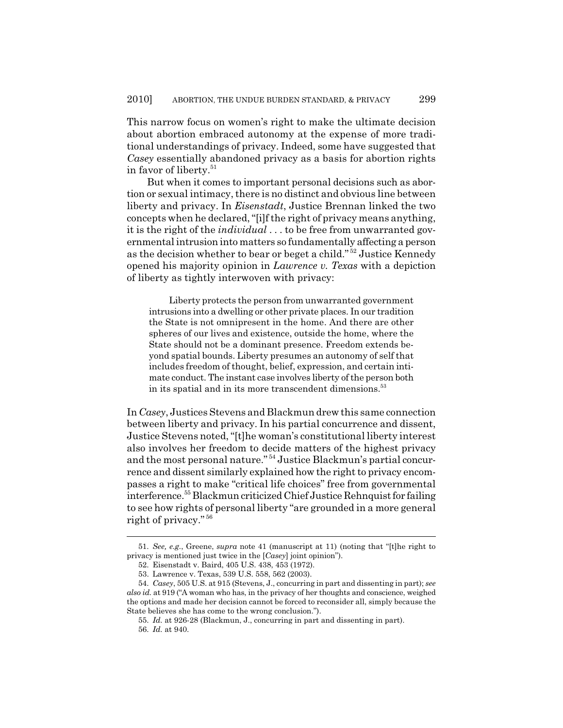This narrow focus on women's right to make the ultimate decision about abortion embraced autonomy at the expense of more traditional understandings of privacy. Indeed, some have suggested that *Casey* essentially abandoned privacy as a basis for abortion rights in favor of liberty.<sup>51</sup>

But when it comes to important personal decisions such as abortion or sexual intimacy, there is no distinct and obvious line between liberty and privacy. In *Eisenstadt*, Justice Brennan linked the two concepts when he declared, "[i]f the right of privacy means anything, it is the right of the *individual* . . . to be free from unwarranted governmental intrusion into matters so fundamentally affecting a person as the decision whether to bear or beget a child." 52 Justice Kennedy opened his majority opinion in *Lawrence v. Texas* with a depiction of liberty as tightly interwoven with privacy:

Liberty protects the person from unwarranted government intrusions into a dwelling or other private places. In our tradition the State is not omnipresent in the home. And there are other spheres of our lives and existence, outside the home, where the State should not be a dominant presence. Freedom extends beyond spatial bounds. Liberty presumes an autonomy of self that includes freedom of thought, belief, expression, and certain intimate conduct. The instant case involves liberty of the person both in its spatial and in its more transcendent dimensions.<sup>53</sup>

In *Casey*, Justices Stevens and Blackmun drew this same connection between liberty and privacy. In his partial concurrence and dissent, Justice Stevens noted, "[t]he woman's constitutional liberty interest also involves her freedom to decide matters of the highest privacy and the most personal nature." 54 Justice Blackmun's partial concurrence and dissent similarly explained how the right to privacy encompasses a right to make "critical life choices" free from governmental interference.55 Blackmun criticized Chief Justice Rehnquist for failing to see how rights of personal liberty "are grounded in a more general right of privacy." <sup>56</sup>

<sup>51.</sup> *See, e.g.*, Greene, *supra* note 41 (manuscript at 11) (noting that "[t]he right to privacy is mentioned just twice in the [*Casey*] joint opinion").

<sup>52.</sup> Eisenstadt v. Baird, 405 U.S. 438, 453 (1972).

<sup>53.</sup> Lawrence v. Texas, 539 U.S. 558, 562 (2003).

<sup>54.</sup> *Casey*, 505 U.S. at 915 (Stevens, J., concurring in part and dissenting in part); *see also id.* at 919 ("A woman who has, in the privacy of her thoughts and conscience, weighed the options and made her decision cannot be forced to reconsider all, simply because the State believes she has come to the wrong conclusion.").

<sup>55.</sup> *Id.* at 926-28 (Blackmun, J., concurring in part and dissenting in part).

<sup>56.</sup> *Id.* at 940.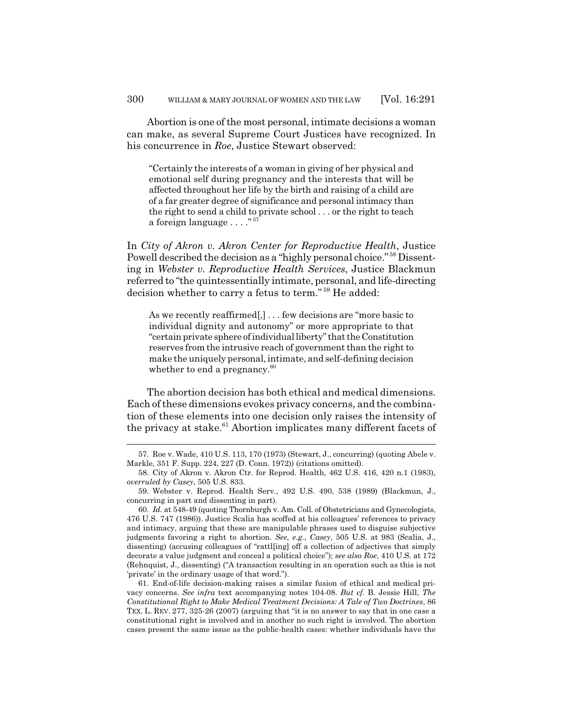Abortion is one of the most personal, intimate decisions a woman can make, as several Supreme Court Justices have recognized. In his concurrence in *Roe*, Justice Stewart observed:

"Certainly the interests of a woman in giving of her physical and emotional self during pregnancy and the interests that will be affected throughout her life by the birth and raising of a child are of a far greater degree of significance and personal intimacy than the right to send a child to private school . . . or the right to teach a foreign language . . . ."<sup>57</sup>

In *City of Akron v. Akron Center for Reproductive Health*, Justice Powell described the decision as a "highly personal choice." 58 Dissenting in *Webster v. Reproductive Health Services*, Justice Blackmun referred to "the quintessentially intimate, personal, and life-directing decision whether to carry a fetus to term." 59 He added:

As we recently reaffirmed[,] . . . few decisions are "more basic to individual dignity and autonomy" or more appropriate to that "certain private sphere of individual liberty" that the Constitution reserves from the intrusive reach of government than the right to make the uniquely personal, intimate, and self-defining decision whether to end a pregnancy.<sup>60</sup>

The abortion decision has both ethical and medical dimensions. Each of these dimensions evokes privacy concerns, and the combination of these elements into one decision only raises the intensity of the privacy at stake. $61$  Abortion implicates many different facets of

<sup>57.</sup> Roe v. Wade, 410 U.S. 113, 170 (1973) (Stewart, J., concurring) (quoting Abele v. Markle, 351 F. Supp. 224, 227 (D. Conn. 1972)) (citations omitted).

<sup>58.</sup> City of Akron v. Akron Ctr. for Reprod. Health, 462 U.S. 416, 420 n.1 (1983), *overruled by Casey*, 505 U.S. 833.

<sup>59.</sup> Webster v. Reprod. Health Serv., 492 U.S. 490, 538 (1989) (Blackmun, J., concurring in part and dissenting in part).

<sup>60.</sup> *Id.* at 548-49 (quoting Thornburgh v. Am. Coll. of Obstetricians and Gynecologists, 476 U.S. 747 (1986)). Justice Scalia has scoffed at his colleagues' references to privacy and intimacy, arguing that these are manipulable phrases used to disguise subjective judgments favoring a right to abortion. *See, e.g.*, *Casey*, 505 U.S. at 983 (Scalia, J., dissenting) (accusing colleagues of "rattl[ing] off a collection of adjectives that simply decorate a value judgment and conceal a political choice"); *see also Roe*, 410 U.S. at 172 (Rehnquist, J., dissenting) ("A transaction resulting in an operation such as this is not 'private' in the ordinary usage of that word.").

<sup>61.</sup> End-of-life decision-making raises a similar fusion of ethical and medical privacy concerns. *See infra* text accompanying notes 104-08. *But cf.* B. Jessie Hill, *The Constitutional Right to Make Medical Treatment Decisions: A Tale of Two Doctrines*, 86 TEX. L. REV. 277, 325-26 (2007) (arguing that "it is no answer to say that in one case a constitutional right is involved and in another no such right is involved. The abortion cases present the same issue as the public-health cases: whether individuals have the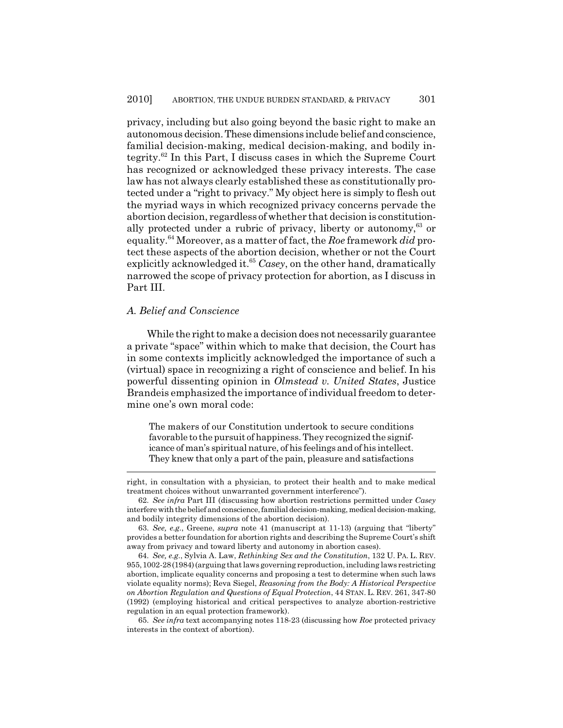privacy, including but also going beyond the basic right to make an autonomous decision. These dimensions include belief and conscience, familial decision-making, medical decision-making, and bodily integrity.62 In this Part, I discuss cases in which the Supreme Court has recognized or acknowledged these privacy interests. The case law has not always clearly established these as constitutionally protected under a "right to privacy." My object here is simply to flesh out the myriad ways in which recognized privacy concerns pervade the abortion decision, regardless of whether that decision is constitutionally protected under a rubric of privacy, liberty or autonomy,  $63$  or equality.64 Moreover, as a matter of fact, the *Roe* framework *did* protect these aspects of the abortion decision, whether or not the Court explicitly acknowledged it.<sup>65</sup> Casey, on the other hand, dramatically narrowed the scope of privacy protection for abortion, as I discuss in Part III.

#### *A. Belief and Conscience*

While the right to make a decision does not necessarily guarantee a private "space" within which to make that decision, the Court has in some contexts implicitly acknowledged the importance of such a (virtual) space in recognizing a right of conscience and belief. In his powerful dissenting opinion in *Olmstead v. United States*, Justice Brandeis emphasized the importance of individual freedom to determine one's own moral code:

The makers of our Constitution undertook to secure conditions favorable to the pursuit of happiness. They recognized the significance of man's spiritual nature, of his feelings and of his intellect. They knew that only a part of the pain, pleasure and satisfactions

right, in consultation with a physician, to protect their health and to make medical treatment choices without unwarranted government interference").

<sup>62.</sup> *See infra* Part III (discussing how abortion restrictions permitted under *Casey* interfere with the belief and conscience, familial decision-making, medical decision-making, and bodily integrity dimensions of the abortion decision).

<sup>63.</sup> *See, e.g.*, Greene, *supra* note 41 (manuscript at 11-13) (arguing that "liberty" provides a better foundation for abortion rights and describing the Supreme Court's shift away from privacy and toward liberty and autonomy in abortion cases).

<sup>64.</sup> *See, e.g.*, Sylvia A. Law, *Rethinking Sex and the Constitution*, 132 U. PA. L. REV. 955,1002-28(1984)(arguing that laws governing reproduction, including laws restricting abortion, implicate equality concerns and proposing a test to determine when such laws violate equality norms); Reva Siegel, *Reasoning from the Body: A Historical Perspective on Abortion Regulation and Questions of Equal Protection*, 44 STAN. L. REV. 261, 347-80 (1992) (employing historical and critical perspectives to analyze abortion-restrictive regulation in an equal protection framework).

<sup>65.</sup> *See infra* text accompanying notes 118-23 (discussing how *Roe* protected privacy interests in the context of abortion).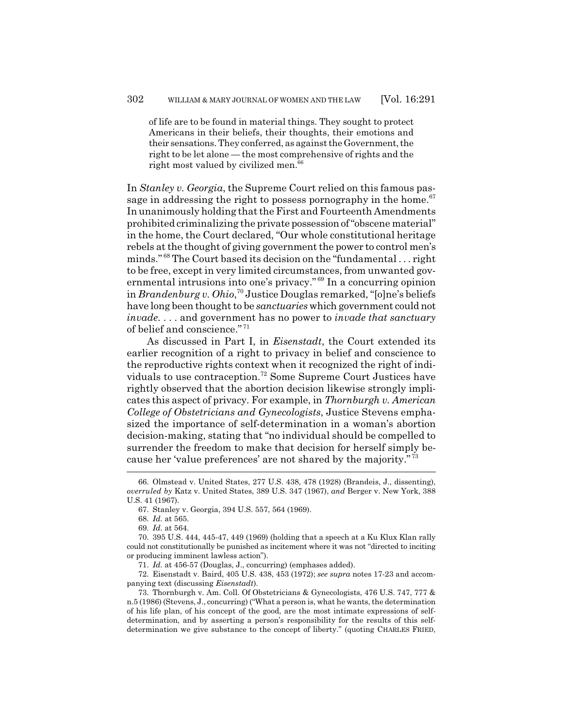of life are to be found in material things. They sought to protect Americans in their beliefs, their thoughts, their emotions and their sensations. They conferred, as against the Government, the right to be let alone — the most comprehensive of rights and the right most valued by civilized men.<sup>66</sup>

In *Stanley v. Georgia*, the Supreme Court relied on this famous passage in addressing the right to possess pornography in the home.<sup>67</sup> In unanimously holding that the First and Fourteenth Amendments prohibited criminalizing the private possession of "obscene material" in the home, the Court declared, "Our whole constitutional heritage rebels at the thought of giving government the power to control men's minds." 68 The Court based its decision on the "fundamental . . . right to be free, except in very limited circumstances, from unwanted governmental intrusions into one's privacy." 69 In a concurring opinion in *Brandenburg v. Ohio*, 70 Justice Douglas remarked, "[o]ne's beliefs have long been thought to be *sanctuaries* which government could not *invade*. . . . and government has no power to *invade that sanctuary* of belief and conscience." <sup>71</sup>

As discussed in Part I, in *Eisenstadt*, the Court extended its earlier recognition of a right to privacy in belief and conscience to the reproductive rights context when it recognized the right of individuals to use contraception.72 Some Supreme Court Justices have rightly observed that the abortion decision likewise strongly implicates this aspect of privacy. For example, in *Thornburgh v. American College of Obstetricians and Gynecologists*, Justice Stevens emphasized the importance of self-determination in a woman's abortion decision-making, stating that "no individual should be compelled to surrender the freedom to make that decision for herself simply because her 'value preferences' are not shared by the majority." <sup>73</sup>

72. Eisenstadt v. Baird, 405 U.S. 438, 453 (1972); *see supra* notes 17-23 and accompanying text (discussing *Eisenstadt*).

<sup>66.</sup> Olmstead v. United States, 277 U.S. 438, 478 (1928) (Brandeis, J., dissenting), *overruled by* Katz v. United States, 389 U.S. 347 (1967), *and* Berger v. New York, 388 U.S. 41 (1967).

<sup>67.</sup> Stanley v. Georgia, 394 U.S. 557, 564 (1969).

<sup>68.</sup> *Id.* at 565.

<sup>69.</sup> *Id.* at 564.

<sup>70. 395</sup> U.S. 444, 445-47, 449 (1969) (holding that a speech at a Ku Klux Klan rally could not constitutionally be punished as incitement where it was not "directed to inciting or producing imminent lawless action").

<sup>71.</sup> *Id.* at 456-57 (Douglas, J., concurring) (emphases added).

<sup>73.</sup> Thornburgh v. Am. Coll. Of Obstetricians & Gynecologists, 476 U.S. 747, 777 & n.5 (1986) (Stevens, J., concurring) ("What a person is, what he wants, the determination of his life plan, of his concept of the good, are the most intimate expressions of selfdetermination, and by asserting a person's responsibility for the results of this selfdetermination we give substance to the concept of liberty." (quoting CHARLES FRIED,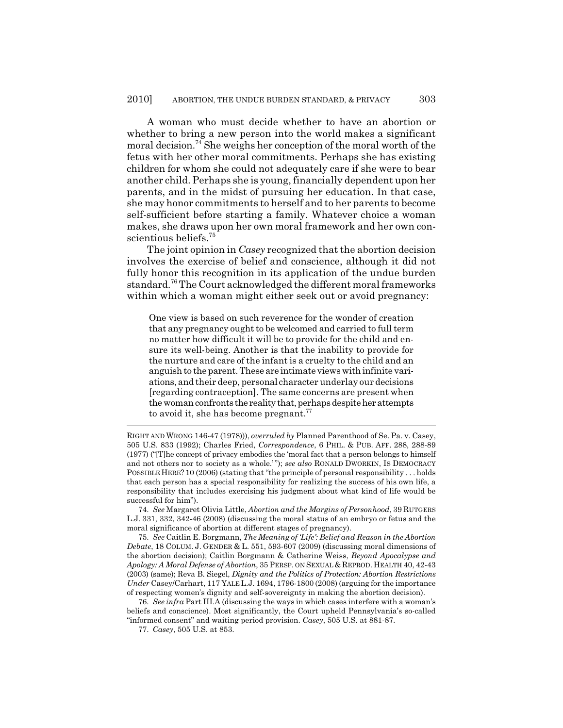A woman who must decide whether to have an abortion or whether to bring a new person into the world makes a significant moral decision.<sup>74</sup> She weighs her conception of the moral worth of the fetus with her other moral commitments. Perhaps she has existing children for whom she could not adequately care if she were to bear another child. Perhaps she is young, financially dependent upon her parents, and in the midst of pursuing her education. In that case, she may honor commitments to herself and to her parents to become self-sufficient before starting a family. Whatever choice a woman makes, she draws upon her own moral framework and her own conscientious beliefs.<sup>75</sup>

The joint opinion in *Casey* recognized that the abortion decision involves the exercise of belief and conscience, although it did not fully honor this recognition in its application of the undue burden standard.76 The Court acknowledged the different moral frameworks within which a woman might either seek out or avoid pregnancy:

One view is based on such reverence for the wonder of creation that any pregnancy ought to be welcomed and carried to full term no matter how difficult it will be to provide for the child and ensure its well-being. Another is that the inability to provide for the nurture and care of the infant is a cruelty to the child and an anguish to the parent. These are intimate views with infinite variations, and their deep, personal character underlay our decisions [regarding contraception]. The same concerns are present when the woman confronts the reality that, perhaps despite her attempts to avoid it, she has become pregnant. $77$ 

74. *See* Margaret Olivia Little, *Abortion and the Margins of Personhood*, 39 RUTGERS L.J. 331, 332, 342-46 (2008) (discussing the moral status of an embryo or fetus and the moral significance of abortion at different stages of pregnancy).

75. *See* Caitlin E. Borgmann, *The Meaning of 'Life': Belief and Reason in the Abortion Debate*, 18 COLUM. J. GENDER & L. 551, 593-607 (2009) (discussing moral dimensions of the abortion decision); Caitlin Borgmann & Catherine Weiss, *Beyond Apocalypse and Apology: A Moral Defense of Abortion*, 35 PERSP. ON SEXUAL & REPROD. HEALTH 40, 42-43 (2003) (same); Reva B. Siegel, *Dignity and the Politics of Protection: Abortion Restrictions Under* Casey/Carhart, 117 YALE L.J. 1694, 1796-1800 (2008) (arguing for the importance of respecting women's dignity and self-sovereignty in making the abortion decision).

76. *See infra* Part III.A (discussing the ways in which cases interfere with a woman's beliefs and conscience). Most significantly, the Court upheld Pennsylvania's so-called "informed consent" and waiting period provision. *Casey*, 505 U.S. at 881-87.

77. *Casey*, 505 U.S. at 853.

RIGHT AND WRONG 146-47 (1978))), *overruled by* Planned Parenthood of Se. Pa. v. Casey, 505 U.S. 833 (1992); Charles Fried, *Correspondence*, 6 PHIL. & PUB. AFF. 288, 288-89 (1977) ("[T]he concept of privacy embodies the 'moral fact that a person belongs to himself and not others nor to society as a whole.' "); *see also* RONALD DWORKIN, IS DEMOCRACY POSSIBLE HERE? 10 (2006) (stating that "the principle of personal responsibility . . . holds that each person has a special responsibility for realizing the success of his own life, a responsibility that includes exercising his judgment about what kind of life would be successful for him").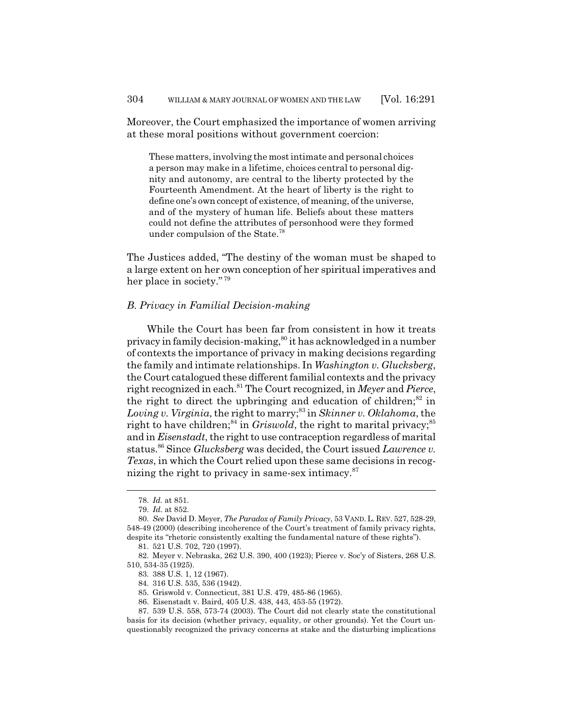Moreover, the Court emphasized the importance of women arriving at these moral positions without government coercion:

These matters, involving the most intimate and personal choices a person may make in a lifetime, choices central to personal dignity and autonomy, are central to the liberty protected by the Fourteenth Amendment. At the heart of liberty is the right to define one's own concept of existence, of meaning, of the universe, and of the mystery of human life. Beliefs about these matters could not define the attributes of personhood were they formed under compulsion of the State.78

The Justices added, "The destiny of the woman must be shaped to a large extent on her own conception of her spiritual imperatives and her place in society." <sup>79</sup>

#### *B. Privacy in Familial Decision-making*

While the Court has been far from consistent in how it treats privacy in family decision-making,<sup>80</sup> it has acknowledged in a number of contexts the importance of privacy in making decisions regarding the family and intimate relationships. In *Washington v. Glucksberg*, the Court catalogued these different familial contexts and the privacy right recognized in each.81 The Court recognized, in *Meyer* and *Pierce*, the right to direct the upbringing and education of children; $82$  in *Loving v. Virginia*, the right to marry;<sup>83</sup> in *Skinner v. Oklahoma*, the right to have children;<sup>84</sup> in *Griswold*, the right to marital privacy;<sup>85</sup> and in *Eisenstadt*, the right to use contraception regardless of marital status.86 Since *Glucksberg* was decided, the Court issued *Lawrence v. Texas*, in which the Court relied upon these same decisions in recognizing the right to privacy in same-sex intimacy. $87$ 

<sup>78.</sup> *Id.* at 851.

<sup>79.</sup> *Id.* at 852.

<sup>80.</sup> *See* David D. Meyer, *The Paradox of Family Privacy*, 53 VAND. L. REV. 527, 528-29, 548-49 (2000) (describing incoherence of the Court's treatment of family privacy rights, despite its "rhetoric consistently exalting the fundamental nature of these rights").

<sup>81. 521</sup> U.S. 702, 720 (1997).

<sup>82.</sup> Meyer v. Nebraska, 262 U.S. 390, 400 (1923); Pierce v. Soc'y of Sisters, 268 U.S. 510, 534-35 (1925).

<sup>83. 388</sup> U.S. 1, 12 (1967).

<sup>84. 316</sup> U.S. 535, 536 (1942).

<sup>85.</sup> Griswold v. Connecticut, 381 U.S. 479, 485-86 (1965).

<sup>86.</sup> Eisenstadt v. Baird, 405 U.S. 438, 443, 453-55 (1972).

<sup>87. 539</sup> U.S. 558, 573-74 (2003). The Court did not clearly state the constitutional basis for its decision (whether privacy, equality, or other grounds). Yet the Court unquestionably recognized the privacy concerns at stake and the disturbing implications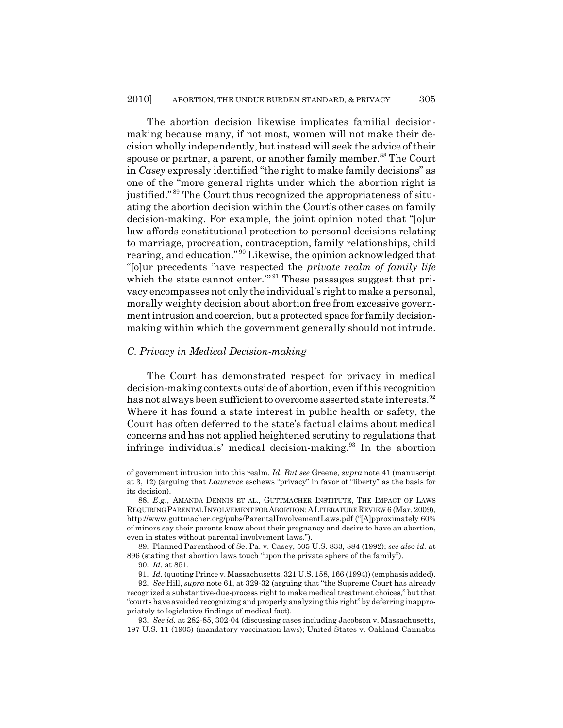The abortion decision likewise implicates familial decisionmaking because many, if not most, women will not make their decision wholly independently, but instead will seek the advice of their spouse or partner, a parent, or another family member.<sup>88</sup> The Court in *Casey* expressly identified "the right to make family decisions" as one of the "more general rights under which the abortion right is justified." 89 The Court thus recognized the appropriateness of situating the abortion decision within the Court's other cases on family decision-making. For example, the joint opinion noted that "[o]ur law affords constitutional protection to personal decisions relating to marriage, procreation, contraception, family relationships, child rearing, and education."<sup>90</sup> Likewise, the opinion acknowledged that "[o]ur precedents 'have respected the *private realm of family life* which the state cannot enter."<sup>91</sup> These passages suggest that privacy encompasses not only the individual's right to make a personal, morally weighty decision about abortion free from excessive government intrusion and coercion, but a protected space for family decisionmaking within which the government generally should not intrude.

#### *C. Privacy in Medical Decision-making*

The Court has demonstrated respect for privacy in medical decision-making contexts outside of abortion, even if this recognition has not always been sufficient to overcome asserted state interests.<sup>92</sup> Where it has found a state interest in public health or safety, the Court has often deferred to the state's factual claims about medical concerns and has not applied heightened scrutiny to regulations that infringe individuals' medical decision-making.<sup>93</sup> In the abortion

of government intrusion into this realm. *Id. But see* Greene, *supra* note 41 (manuscript at 3, 12) (arguing that *Lawrence* eschews "privacy" in favor of "liberty" as the basis for its decision).

<sup>88.</sup> *E.g.*, AMANDA DENNIS ET AL., GUTTMACHER INSTITUTE, THE IMPACT OF LAWS REQUIRING PARENTAL INVOLVEMENT FOR ABORTION:ALITERATURE REVIEW 6 (Mar. 2009), http://www.guttmacher.org/pubs/ParentalInvolvementLaws.pdf ("[A]pproximately 60% of minors say their parents know about their pregnancy and desire to have an abortion, even in states without parental involvement laws.").

<sup>89.</sup> Planned Parenthood of Se. Pa. v. Casey, 505 U.S. 833, 884 (1992); *see also id.* at 896 (stating that abortion laws touch "upon the private sphere of the family").

<sup>90.</sup> *Id.* at 851.

<sup>91.</sup> *Id.* (quoting Prince v. Massachusetts, 321 U.S. 158, 166 (1994)) (emphasis added).

<sup>92.</sup> *See* Hill, *supra* note 61, at 329-32 (arguing that "the Supreme Court has already recognized a substantive-due-process right to make medical treatment choices," but that "courts have avoided recognizing and properly analyzing this right" by deferring inappropriately to legislative findings of medical fact).

<sup>93.</sup> *See id.* at 282-85, 302-04 (discussing cases including Jacobson v. Massachusetts, 197 U.S. 11 (1905) (mandatory vaccination laws); United States v. Oakland Cannabis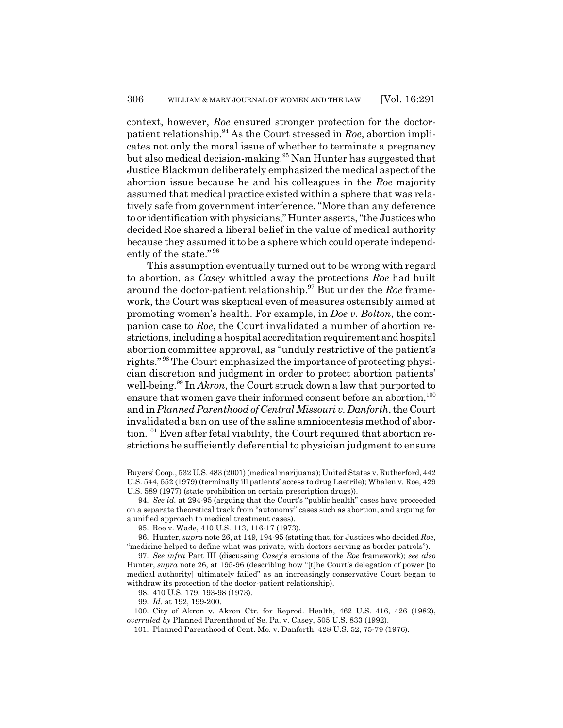context, however, *Roe* ensured stronger protection for the doctorpatient relationship.94 As the Court stressed in *Roe*, abortion implicates not only the moral issue of whether to terminate a pregnancy but also medical decision-making.<sup>95</sup> Nan Hunter has suggested that Justice Blackmun deliberately emphasized the medical aspect of the abortion issue because he and his colleagues in the *Roe* majority assumed that medical practice existed within a sphere that was relatively safe from government interference. "More than any deference to or identification with physicians," Hunter asserts, "the Justices who decided Roe shared a liberal belief in the value of medical authority because they assumed it to be a sphere which could operate independently of the state." <sup>96</sup>

This assumption eventually turned out to be wrong with regard to abortion, as *Casey* whittled away the protections *Roe* had built around the doctor-patient relationship.97 But under the *Roe* framework, the Court was skeptical even of measures ostensibly aimed at promoting women's health. For example, in *Doe v. Bolton*, the companion case to *Roe*, the Court invalidated a number of abortion restrictions, including a hospital accreditation requirement and hospital abortion committee approval, as "unduly restrictive of the patient's rights." 98 The Court emphasized the importance of protecting physician discretion and judgment in order to protect abortion patients' well-being.<sup>99</sup> In *Akron*, the Court struck down a law that purported to ensure that women gave their informed consent before an abortion,<sup>100</sup> and in *Planned Parenthood of Central Missouri v. Danforth*, the Court invalidated a ban on use of the saline amniocentesis method of abortion.<sup>101</sup> Even after fetal viability, the Court required that abortion restrictions be sufficiently deferential to physician judgment to ensure

Buyers' Coop., 532 U.S. 483 (2001) (medical marijuana); United States v. Rutherford, 442 U.S. 544, 552 (1979) (terminally ill patients' access to drug Laetrile); Whalen v. Roe, 429 U.S. 589 (1977) (state prohibition on certain prescription drugs)).

<sup>94.</sup> *See id.* at 294-95 (arguing that the Court's "public health" cases have proceeded on a separate theoretical track from "autonomy" cases such as abortion, and arguing for a unified approach to medical treatment cases).

<sup>95.</sup> Roe v. Wade, 410 U.S. 113, 116-17 (1973).

<sup>96.</sup> Hunter, *supra* note 26, at 149, 194-95 (stating that, for Justices who decided *Roe*, "medicine helped to define what was private, with doctors serving as border patrols").

<sup>97.</sup> *See infra* Part III (discussing *Casey*'s erosions of the *Roe* framework); *see also* Hunter, *supra* note 26, at 195-96 (describing how "[t]he Court's delegation of power [to medical authority] ultimately failed" as an increasingly conservative Court began to withdraw its protection of the doctor-patient relationship).

<sup>98. 410</sup> U.S. 179, 193-98 (1973).

<sup>99.</sup> *Id.* at 192, 199-200.

<sup>100.</sup> City of Akron v. Akron Ctr. for Reprod. Health, 462 U.S. 416, 426 (1982), *overruled by* Planned Parenthood of Se. Pa. v. Casey, 505 U.S. 833 (1992).

<sup>101.</sup> Planned Parenthood of Cent. Mo. v. Danforth, 428 U.S. 52, 75-79 (1976).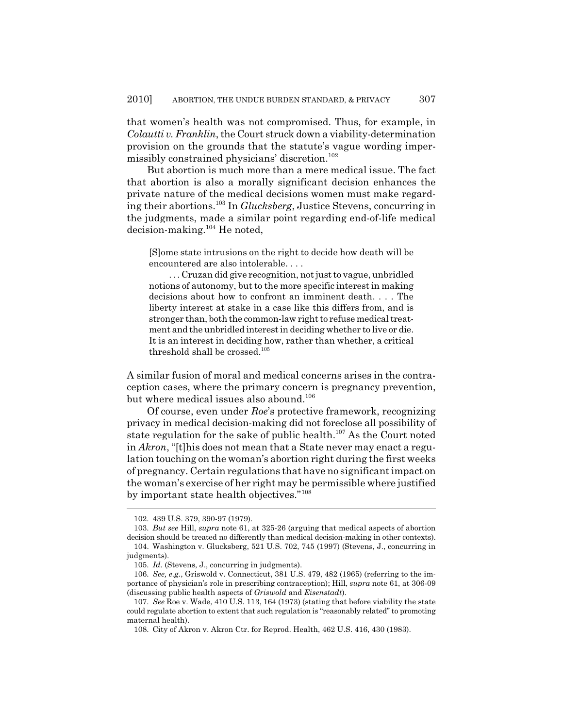that women's health was not compromised. Thus, for example, in *Colautti v. Franklin*, the Court struck down a viability-determination provision on the grounds that the statute's vague wording impermissibly constrained physicians' discretion.<sup>102</sup>

But abortion is much more than a mere medical issue. The fact that abortion is also a morally significant decision enhances the private nature of the medical decisions women must make regarding their abortions.103 In *Glucksberg*, Justice Stevens, concurring in the judgments, made a similar point regarding end-of-life medical decision-making.104 He noted,

[S]ome state intrusions on the right to decide how death will be encountered are also intolerable. . . .

. . . Cruzan did give recognition, not just to vague, unbridled notions of autonomy, but to the more specific interest in making decisions about how to confront an imminent death. . . . The liberty interest at stake in a case like this differs from, and is stronger than, both the common-law right to refuse medical treatment and the unbridled interest in deciding whether to live or die. It is an interest in deciding how, rather than whether, a critical threshold shall be crossed.<sup>105</sup>

A similar fusion of moral and medical concerns arises in the contraception cases, where the primary concern is pregnancy prevention, but where medical issues also abound.<sup>106</sup>

Of course, even under *Roe*'s protective framework, recognizing privacy in medical decision-making did not foreclose all possibility of state regulation for the sake of public health.<sup>107</sup> As the Court noted in *Akron*, "[t]his does not mean that a State never may enact a regulation touching on the woman's abortion right during the first weeks of pregnancy. Certain regulations that have no significant impact on the woman's exercise of her right may be permissible where justified by important state health objectives."<sup>108</sup>

<sup>102. 439</sup> U.S. 379, 390-97 (1979).

<sup>103.</sup> *But see* Hill, *supra* note 61, at 325-26 (arguing that medical aspects of abortion decision should be treated no differently than medical decision-making in other contexts). 104. Washington v. Glucksberg, 521 U.S. 702, 745 (1997) (Stevens, J., concurring in judgments).

<sup>105.</sup> *Id.* (Stevens, J., concurring in judgments).

<sup>106.</sup> *See, e.g.*, Griswold v. Connecticut, 381 U.S. 479, 482 (1965) (referring to the importance of physician's role in prescribing contraception); Hill, *supra* note 61, at 306-09 (discussing public health aspects of *Griswold* and *Eisenstadt*).

<sup>107.</sup> *See* Roe v. Wade, 410 U.S. 113, 164 (1973) (stating that before viability the state could regulate abortion to extent that such regulation is "reasonably related" to promoting maternal health).

<sup>108.</sup> City of Akron v. Akron Ctr. for Reprod. Health, 462 U.S. 416, 430 (1983).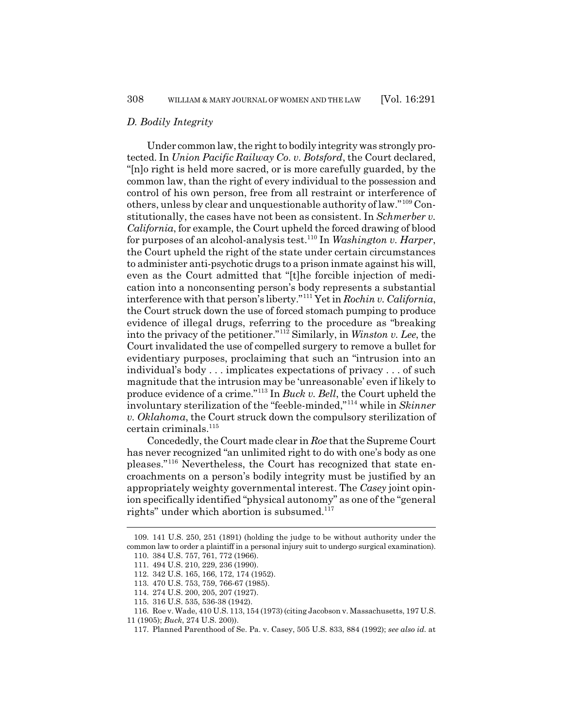#### *D. Bodily Integrity*

Under common law, the right to bodily integrity was strongly protected. In *Union Pacific Railway Co. v. Botsford*, the Court declared, "[n]o right is held more sacred, or is more carefully guarded, by the common law, than the right of every individual to the possession and control of his own person, free from all restraint or interference of others, unless by clear and unquestionable authority of law."109 Constitutionally, the cases have not been as consistent. In *Schmerber v. California*, for example, the Court upheld the forced drawing of blood for purposes of an alcohol-analysis test.110 In *Washington v. Harper*, the Court upheld the right of the state under certain circumstances to administer anti-psychotic drugs to a prison inmate against his will, even as the Court admitted that "[t]he forcible injection of medication into a nonconsenting person's body represents a substantial interference with that person's liberty."111 Yet in *Rochin v. California*, the Court struck down the use of forced stomach pumping to produce evidence of illegal drugs, referring to the procedure as "breaking into the privacy of the petitioner."112 Similarly, in *Winston v. Lee*, the Court invalidated the use of compelled surgery to remove a bullet for evidentiary purposes, proclaiming that such an "intrusion into an individual's body . . . implicates expectations of privacy . . . of such magnitude that the intrusion may be 'unreasonable' even if likely to produce evidence of a crime."113 In *Buck v. Bell*, the Court upheld the involuntary sterilization of the "feeble-minded,"114 while in *Skinner v. Oklahoma*, the Court struck down the compulsory sterilization of certain criminals.<sup>115</sup>

Concededly, the Court made clear in *Roe* that the Supreme Court has never recognized "an unlimited right to do with one's body as one pleases."116 Nevertheless, the Court has recognized that state encroachments on a person's bodily integrity must be justified by an appropriately weighty governmental interest. The *Casey* joint opinion specifically identified "physical autonomy" as one of the "general rights" under which abortion is subsumed. $117$ 

<sup>109. 141</sup> U.S. 250, 251 (1891) (holding the judge to be without authority under the common law to order a plaintiff in a personal injury suit to undergo surgical examination). 110. 384 U.S. 757, 761, 772 (1966).

<sup>111. 494</sup> U.S. 210, 229, 236 (1990).

<sup>112. 342</sup> U.S. 165, 166, 172, 174 (1952).

<sup>113. 470</sup> U.S. 753, 759, 766-67 (1985).

<sup>114. 274</sup> U.S. 200, 205, 207 (1927).

<sup>115. 316</sup> U.S. 535, 536-38 (1942).

<sup>116.</sup> Roe v. Wade, 410 U.S. 113, 154 (1973) (citing Jacobson v. Massachusetts, 197 U.S.

<sup>11 (1905);</sup> *Buck*, 274 U.S. 200)).

<sup>117.</sup> Planned Parenthood of Se. Pa. v. Casey, 505 U.S. 833, 884 (1992); *see also id.* at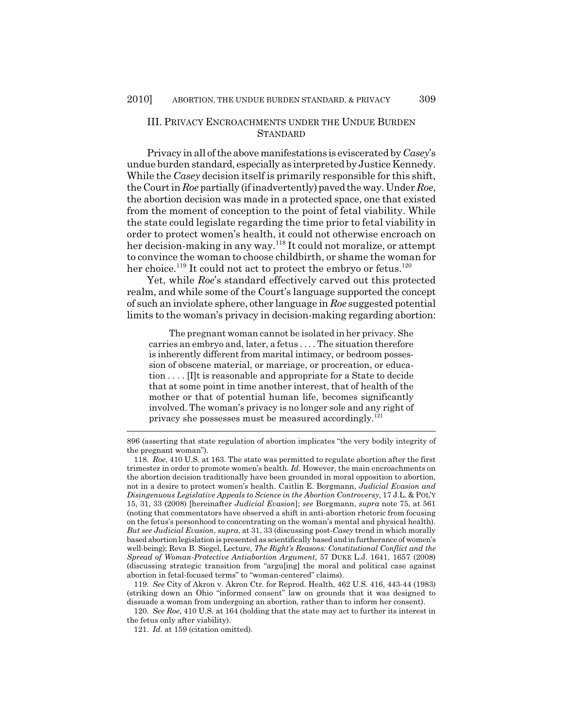### III. PRIVACY ENCROACHMENTS UNDER THE UNDUE BURDEN **STANDARD**

Privacy in all of the above manifestations is eviscerated by *Casey*'s undue burden standard, especially as interpreted by Justice Kennedy. While the *Casey* decision itself is primarily responsible for this shift, the Court in *Roe* partially (if inadvertently) paved the way. Under *Roe*, the abortion decision was made in a protected space, one that existed from the moment of conception to the point of fetal viability. While the state could legislate regarding the time prior to fetal viability in order to protect women's health, it could not otherwise encroach on her decision-making in any way.118 It could not moralize, or attempt to convince the woman to choose childbirth, or shame the woman for her choice.<sup>119</sup> It could not act to protect the embryo or fetus.<sup>120</sup>

Yet, while *Roe*'s standard effectively carved out this protected realm, and while some of the Court's language supported the concept of such an inviolate sphere, other language in *Roe* suggested potential limits to the woman's privacy in decision-making regarding abortion:

The pregnant woman cannot be isolated in her privacy. She carries an embryo and, later, a fetus . . . . The situation therefore is inherently different from marital intimacy, or bedroom possession of obscene material, or marriage, or procreation, or education . . . . [I]t is reasonable and appropriate for a State to decide that at some point in time another interest, that of health of the mother or that of potential human life, becomes significantly involved. The woman's privacy is no longer sole and any right of privacy she possesses must be measured accordingly.<sup>121</sup>

119. *See* City of Akron v. Akron Ctr. for Reprod. Health, 462 U.S. 416, 443-44 (1983) (striking down an Ohio "informed consent" law on grounds that it was designed to dissuade a woman from undergoing an abortion, rather than to inform her consent).

120. *See Roe*, 410 U.S. at 164 (holding that the state may act to further its interest in the fetus only after viability).

121. *Id.* at 159 (citation omitted).

<sup>896 (</sup>asserting that state regulation of abortion implicates "the very bodily integrity of the pregnant woman").

<sup>118.</sup> *Roe*, 410 U.S. at 163. The state was permitted to regulate abortion after the first trimester in order to promote women's health. *Id.* However, the main encroachments on the abortion decision traditionally have been grounded in moral opposition to abortion, not in a desire to protect women's health. Caitlin E. Borgmann, *Judicial Evasion and Disingenuous Legislative Appeals to Science in the Abortion Controversy*, 17 J.L. & POL'Y 15, 31, 33 (2008) [hereinafter *Judicial Evasion*]; *see* Borgmann, *supra* note 75, at 561 (noting that commentators have observed a shift in anti-abortion rhetoric from focusing on the fetus's personhood to concentrating on the woman's mental and physical health). *But see Judicial Evasion*, *supra*, at 31, 33 (discussing post-*Casey* trend in which morally based abortion legislation is presented as scientifically based and in furtherance of women's well-being); Reva B. Siegel, Lecture, *The Right's Reasons: Constitutional Conflict and the Spread of Woman-Protective Antiabortion Argument*, 57 DUKE L.J. 1641, 1657 (2008) (discussing strategic transition from "argu[ing] the moral and political case against abortion in fetal-focused terms" to "woman-centered" claims).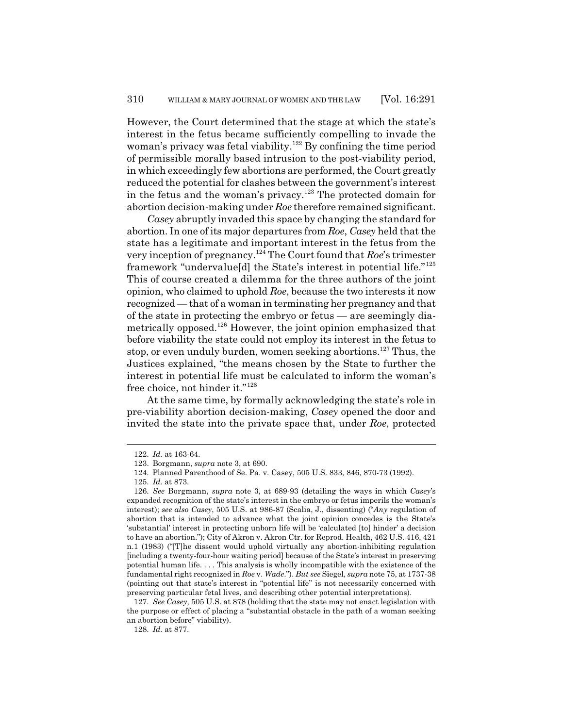However, the Court determined that the stage at which the state's interest in the fetus became sufficiently compelling to invade the woman's privacy was fetal viability.<sup>122</sup> By confining the time period of permissible morally based intrusion to the post-viability period, in which exceedingly few abortions are performed, the Court greatly reduced the potential for clashes between the government's interest in the fetus and the woman's privacy.<sup>123</sup> The protected domain for abortion decision-making under *Roe* therefore remained significant.

*Casey* abruptly invaded this space by changing the standard for abortion. In one of its major departures from *Roe*, *Casey* held that the state has a legitimate and important interest in the fetus from the very inception of pregnancy.124 The Court found that *Roe*'s trimester framework "undervalue[d] the State's interest in potential life."<sup>125</sup> This of course created a dilemma for the three authors of the joint opinion, who claimed to uphold *Roe*, because the two interests it now recognized — that of a woman in terminating her pregnancy and that of the state in protecting the embryo or fetus — are seemingly diametrically opposed.126 However, the joint opinion emphasized that before viability the state could not employ its interest in the fetus to stop, or even unduly burden, women seeking abortions.<sup>127</sup> Thus, the Justices explained, "the means chosen by the State to further the interest in potential life must be calculated to inform the woman's free choice, not hinder it."<sup>128</sup>

At the same time, by formally acknowledging the state's role in pre-viability abortion decision-making, *Casey* opened the door and invited the state into the private space that, under *Roe*, protected

<sup>122.</sup> *Id.* at 163-64.

<sup>123.</sup> Borgmann, *supra* note 3, at 690.

<sup>124.</sup> Planned Parenthood of Se. Pa. v. Casey, 505 U.S. 833, 846, 870-73 (1992).

<sup>125.</sup> *Id.* at 873.

<sup>126.</sup> *See* Borgmann, *supra* note 3, at 689-93 (detailing the ways in which *Casey*'s expanded recognition of the state's interest in the embryo or fetus imperils the woman's interest); *see also Casey*, 505 U.S. at 986-87 (Scalia, J., dissenting) ("*Any* regulation of abortion that is intended to advance what the joint opinion concedes is the State's 'substantial' interest in protecting unborn life will be 'calculated [to] hinder' a decision to have an abortion."); City of Akron v. Akron Ctr. for Reprod. Health, 462 U.S. 416, 421 n.1 (1983) ("[T]he dissent would uphold virtually any abortion-inhibiting regulation [including a twenty-four-hour waiting period] because of the State's interest in preserving potential human life. . . . This analysis is wholly incompatible with the existence of the fundamental right recognized in *Roe* v. *Wade*."). *But see* Siegel, *supra* note 75, at 1737-38 (pointing out that state's interest in "potential life" is not necessarily concerned with preserving particular fetal lives, and describing other potential interpretations).

<sup>127.</sup> *See Casey*, 505 U.S. at 878 (holding that the state may not enact legislation with the purpose or effect of placing a "substantial obstacle in the path of a woman seeking an abortion before" viability).

<sup>128.</sup> *Id.* at 877.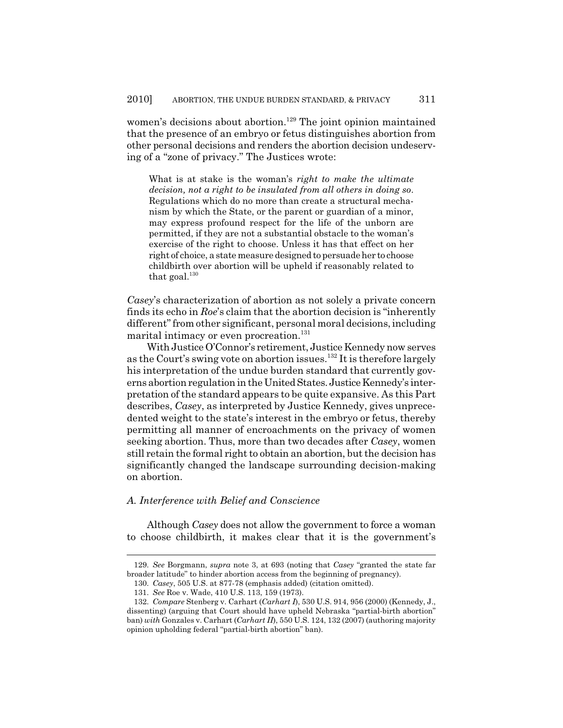women's decisions about abortion.<sup>129</sup> The joint opinion maintained that the presence of an embryo or fetus distinguishes abortion from other personal decisions and renders the abortion decision undeserving of a "zone of privacy." The Justices wrote:

What is at stake is the woman's *right to make the ultimate decision, not a right to be insulated from all others in doing so*. Regulations which do no more than create a structural mechanism by which the State, or the parent or guardian of a minor, may express profound respect for the life of the unborn are permitted, if they are not a substantial obstacle to the woman's exercise of the right to choose. Unless it has that effect on her right of choice, a state measure designed to persuade her to choose childbirth over abortion will be upheld if reasonably related to that goal. $130$ 

*Casey*'s characterization of abortion as not solely a private concern finds its echo in *Roe*'s claim that the abortion decision is "inherently different" from other significant, personal moral decisions, including marital intimacy or even procreation.<sup>131</sup>

With Justice O'Connor's retirement, Justice Kennedy now serves as the Court's swing vote on abortion issues.<sup>132</sup> It is therefore largely his interpretation of the undue burden standard that currently governs abortion regulation in the United States. Justice Kennedy's interpretation of the standard appears to be quite expansive. As this Part describes, *Casey*, as interpreted by Justice Kennedy, gives unprecedented weight to the state's interest in the embryo or fetus, thereby permitting all manner of encroachments on the privacy of women seeking abortion. Thus, more than two decades after *Casey*, women still retain the formal right to obtain an abortion, but the decision has significantly changed the landscape surrounding decision-making on abortion.

# *A. Interference with Belief and Conscience*

Although *Casey* does not allow the government to force a woman to choose childbirth, it makes clear that it is the government's

<sup>129.</sup> *See* Borgmann, *supra* note 3, at 693 (noting that *Casey* "granted the state far broader latitude" to hinder abortion access from the beginning of pregnancy).

<sup>130.</sup> *Casey*, 505 U.S. at 877-78 (emphasis added) (citation omitted).

<sup>131.</sup> *See* Roe v. Wade, 410 U.S. 113, 159 (1973).

<sup>132.</sup> *Compare* Stenberg v. Carhart (*Carhart I*), 530 U.S. 914, 956 (2000) (Kennedy, J., dissenting) (arguing that Court should have upheld Nebraska "partial-birth abortion" ban) *with* Gonzales v. Carhart (*Carhart II*), 550 U.S. 124, 132 (2007) (authoring majority opinion upholding federal "partial-birth abortion" ban).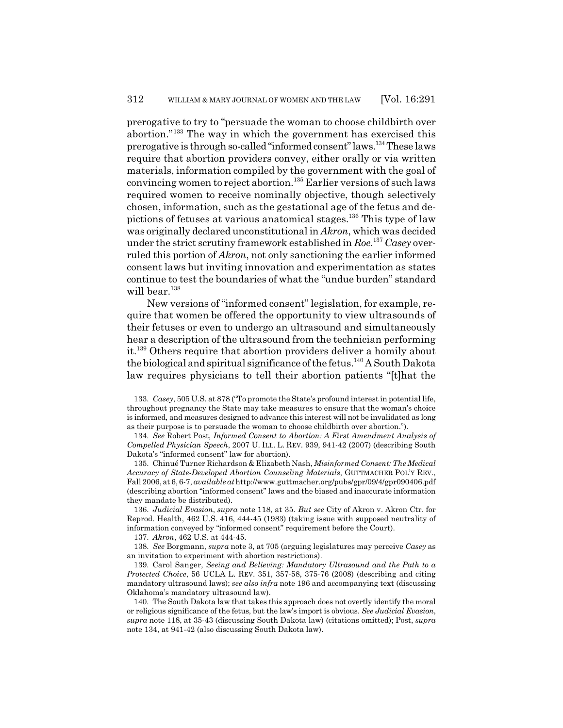prerogative to try to "persuade the woman to choose childbirth over abortion."133 The way in which the government has exercised this prerogative is through so-called "informed consent" laws.134 These laws require that abortion providers convey, either orally or via written materials, information compiled by the government with the goal of convincing women to reject abortion.135 Earlier versions of such laws required women to receive nominally objective, though selectively chosen, information, such as the gestational age of the fetus and depictions of fetuses at various anatomical stages.<sup>136</sup> This type of law was originally declared unconstitutional in *Akron*, which was decided under the strict scrutiny framework established in *Roe*. <sup>137</sup> *Casey* overruled this portion of *Akron*, not only sanctioning the earlier informed consent laws but inviting innovation and experimentation as states continue to test the boundaries of what the "undue burden" standard will bear.<sup>138</sup>

New versions of "informed consent" legislation, for example, require that women be offered the opportunity to view ultrasounds of their fetuses or even to undergo an ultrasound and simultaneously hear a description of the ultrasound from the technician performing it.139 Others require that abortion providers deliver a homily about the biological and spiritual significance of the fetus.<sup>140</sup> A South Dakota law requires physicians to tell their abortion patients "[t]hat the

136. *Judicial Evasion*, *supra* note 118, at 35. *But see* City of Akron v. Akron Ctr. for Reprod. Health, 462 U.S. 416, 444-45 (1983) (taking issue with supposed neutrality of information conveyed by "informed consent" requirement before the Court).

137. *Akron*, 462 U.S. at 444-45.

138. *See* Borgmann, *supra* note 3, at 705 (arguing legislatures may perceive *Casey* as an invitation to experiment with abortion restrictions).

139. Carol Sanger, *Seeing and Believing: Mandatory Ultrasound and the Path to a Protected Choice*, 56 UCLA L. REV. 351, 357-58, 375-76 (2008) (describing and citing mandatory ultrasound laws); *see also infra* note 196 and accompanying text (discussing Oklahoma's mandatory ultrasound law).

<sup>133.</sup> *Casey*, 505 U.S. at 878 ("To promote the State's profound interest in potential life, throughout pregnancy the State may take measures to ensure that the woman's choice is informed, and measures designed to advance this interest will not be invalidated as long as their purpose is to persuade the woman to choose childbirth over abortion.").

<sup>134.</sup> *See* Robert Post, *Informed Consent to Abortion: A First Amendment Analysis of Compelled Physician Speech*, 2007 U. ILL. L. REV. 939, 941-42 (2007) (describing South Dakota's "informed consent" law for abortion).

<sup>135.</sup> Chinué Turner Richardson & Elizabeth Nash, *Misinformed Consent: The Medical Accuracy of State-Developed Abortion Counseling Materials*, GUTTMACHER POL'Y REV., Fall 2006, at 6, 6-7, *available at* http://www.guttmacher.org/pubs/gpr/09/4/gpr090406.pdf (describing abortion "informed consent" laws and the biased and inaccurate information they mandate be distributed).

<sup>140.</sup> The South Dakota law that takes this approach does not overtly identify the moral or religious significance of the fetus, but the law's import is obvious. *See Judicial Evasion*, *supra* note 118, at 35-43 (discussing South Dakota law) (citations omitted); Post, *supra* note 134, at 941-42 (also discussing South Dakota law).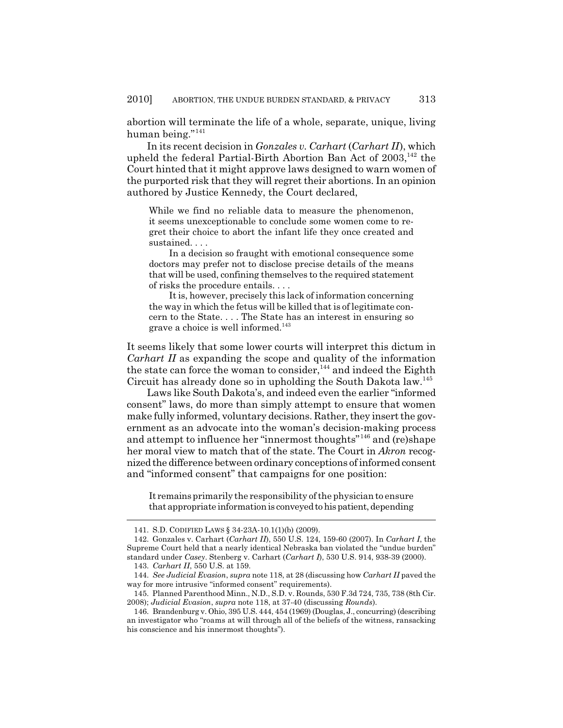abortion will terminate the life of a whole, separate, unique, living human being."<sup>141</sup>

In its recent decision in *Gonzales v. Carhart* (*Carhart II*), which upheld the federal Partial-Birth Abortion Ban Act of 2003.<sup>142</sup> the Court hinted that it might approve laws designed to warn women of the purported risk that they will regret their abortions. In an opinion authored by Justice Kennedy, the Court declared,

While we find no reliable data to measure the phenomenon, it seems unexceptionable to conclude some women come to regret their choice to abort the infant life they once created and sustained. . . .

In a decision so fraught with emotional consequence some doctors may prefer not to disclose precise details of the means that will be used, confining themselves to the required statement of risks the procedure entails. . . .

It is, however, precisely this lack of information concerning the way in which the fetus will be killed that is of legitimate concern to the State. . . . The State has an interest in ensuring so grave a choice is well informed.<sup>143</sup>

It seems likely that some lower courts will interpret this dictum in *Carhart II* as expanding the scope and quality of the information the state can force the woman to consider, $144$  and indeed the Eighth Circuit has already done so in upholding the South Dakota law.<sup>145</sup>

Laws like South Dakota's, and indeed even the earlier "informed consent" laws, do more than simply attempt to ensure that women make fully informed, voluntary decisions. Rather, they insert the government as an advocate into the woman's decision-making process and attempt to influence her "innermost thoughts"146 and (re)shape her moral view to match that of the state. The Court in *Akron* recognized the difference between ordinary conceptions of informed consent and "informed consent" that campaigns for one position:

It remains primarily the responsibility of the physician to ensure that appropriate information is conveyed to his patient, depending

<sup>141.</sup> S.D. CODIFIED LAWS § 34-23A-10.1(1)(b) (2009).

<sup>142.</sup> Gonzales v. Carhart (*Carhart II*), 550 U.S. 124, 159-60 (2007). In *Carhart I*, the Supreme Court held that a nearly identical Nebraska ban violated the "undue burden" standard under *Casey*. Stenberg v. Carhart (*Carhart I*), 530 U.S. 914, 938-39 (2000).

<sup>143.</sup> *Carhart II*, 550 U.S. at 159.

<sup>144.</sup> *See Judicial Evasion*, *supra* note 118, at 28 (discussing how *Carhart II* paved the way for more intrusive "informed consent" requirements).

<sup>145.</sup> Planned Parenthood Minn., N.D., S.D. v. Rounds, 530 F.3d 724, 735, 738 (8th Cir. 2008); *Judicial Evasion*, *supra* note 118, at 37-40 (discussing *Rounds*).

<sup>146.</sup> Brandenburg v. Ohio, 395 U.S. 444, 454 (1969) (Douglas, J., concurring) (describing an investigator who "roams at will through all of the beliefs of the witness, ransacking his conscience and his innermost thoughts").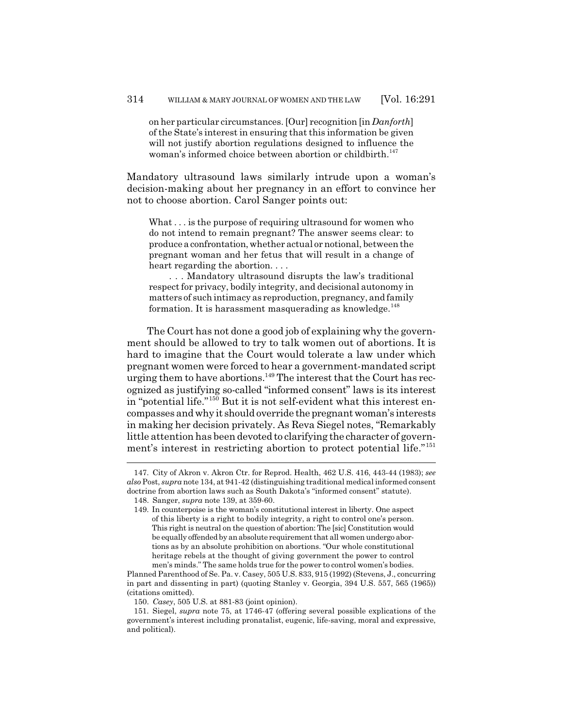on her particular circumstances. [Our] recognition [in *Danforth*] of the State's interest in ensuring that this information be given will not justify abortion regulations designed to influence the woman's informed choice between abortion or childbirth.<sup>147</sup>

Mandatory ultrasound laws similarly intrude upon a woman's decision-making about her pregnancy in an effort to convince her not to choose abortion. Carol Sanger points out:

What . . . is the purpose of requiring ultrasound for women who do not intend to remain pregnant? The answer seems clear: to produce a confrontation, whether actual or notional, between the pregnant woman and her fetus that will result in a change of heart regarding the abortion. . . .

. . . Mandatory ultrasound disrupts the law's traditional respect for privacy, bodily integrity, and decisional autonomy in matters of such intimacy as reproduction, pregnancy, and family formation. It is harassment masquerading as knowledge.<sup>148</sup>

The Court has not done a good job of explaining why the government should be allowed to try to talk women out of abortions. It is hard to imagine that the Court would tolerate a law under which pregnant women were forced to hear a government-mandated script urging them to have abortions.<sup>149</sup> The interest that the Court has recognized as justifying so-called "informed consent" laws is its interest in "potential life."150 But it is not self-evident what this interest encompasses and why it should override the pregnant woman's interests in making her decision privately. As Reva Siegel notes, "Remarkably little attention has been devoted to clarifying the character of government's interest in restricting abortion to protect potential life."<sup>151</sup>

<sup>147.</sup> City of Akron v. Akron Ctr. for Reprod. Health, 462 U.S. 416, 443-44 (1983); *see also* Post, *supra* note 134, at 941-42 (distinguishing traditional medical informed consent doctrine from abortion laws such as South Dakota's "informed consent" statute).

<sup>148.</sup> Sanger, *supra* note 139, at 359-60.

<sup>149.</sup> In counterpoise is the woman's constitutional interest in liberty. One aspect of this liberty is a right to bodily integrity, a right to control one's person. This right is neutral on the question of abortion: The [sic] Constitution would be equally offended by an absolute requirement that all women undergo abortions as by an absolute prohibition on abortions. "Our whole constitutional heritage rebels at the thought of giving government the power to control men's minds." The same holds true for the power to control women's bodies.

Planned Parenthood of Se. Pa. v. Casey, 505 U.S. 833, 915 (1992) (Stevens, J., concurring in part and dissenting in part) (quoting Stanley v. Georgia, 394 U.S. 557, 565 (1965)) (citations omitted).

<sup>150.</sup> *Casey*, 505 U.S. at 881-83 (joint opinion).

<sup>151.</sup> Siegel, *supra* note 75, at 1746-47 (offering several possible explications of the government's interest including pronatalist, eugenic, life-saving, moral and expressive, and political).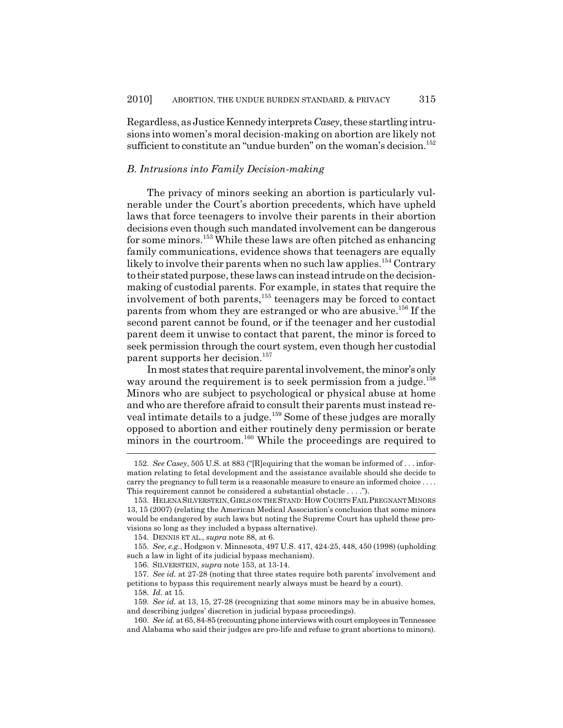Regardless, as Justice Kennedy interprets *Casey*, these startling intrusions into women's moral decision-making on abortion are likely not sufficient to constitute an "undue burden" on the woman's decision.<sup>152</sup>

#### *B. Intrusions into Family Decision-making*

The privacy of minors seeking an abortion is particularly vulnerable under the Court's abortion precedents, which have upheld laws that force teenagers to involve their parents in their abortion decisions even though such mandated involvement can be dangerous for some minors.153 While these laws are often pitched as enhancing family communications, evidence shows that teenagers are equally likely to involve their parents when no such law applies.<sup>154</sup> Contrary to their stated purpose, these laws can instead intrude on the decisionmaking of custodial parents. For example, in states that require the involvement of both parents,155 teenagers may be forced to contact parents from whom they are estranged or who are abusive.156 If the second parent cannot be found, or if the teenager and her custodial parent deem it unwise to contact that parent, the minor is forced to seek permission through the court system, even though her custodial parent supports her decision.<sup>157</sup>

In most states that require parental involvement, the minor's only way around the requirement is to seek permission from a judge.<sup>158</sup> Minors who are subject to psychological or physical abuse at home and who are therefore afraid to consult their parents must instead reveal intimate details to a judge.159 Some of these judges are morally opposed to abortion and either routinely deny permission or berate minors in the courtroom.<sup>160</sup> While the proceedings are required to

<sup>152.</sup> *See Casey*, 505 U.S. at 883 ("[R]equiring that the woman be informed of . . . information relating to fetal development and the assistance available should she decide to carry the pregnancy to full term is a reasonable measure to ensure an informed choice . . . . This requirement cannot be considered a substantial obstacle . . . .").

<sup>153.</sup> HELENA SILVERSTEIN, GIRLS ON THE STAND: HOW COURTS FAIL PREGNANT MINORS 13, 15 (2007) (relating the American Medical Association's conclusion that some minors would be endangered by such laws but noting the Supreme Court has upheld these provisions so long as they included a bypass alternative).

<sup>154.</sup> DENNIS ET AL., *supra* note 88, at 6.

<sup>155.</sup> *See, e.g.*, Hodgson v. Minnesota, 497 U.S. 417, 424-25, 448, 450 (1998) (upholding such a law in light of its judicial bypass mechanism).

<sup>156.</sup> SILVERSTEIN, *supra* note 153, at 13-14.

<sup>157.</sup> *See id.* at 27-28 (noting that three states require both parents' involvement and petitions to bypass this requirement nearly always must be heard by a court).

<sup>158.</sup> *Id.* at 15.

<sup>159.</sup> *See id.* at 13, 15, 27-28 (recognizing that some minors may be in abusive homes, and describing judges' discretion in judicial bypass proceedings).

<sup>160.</sup> *See id.* at 65, 84-85 (recounting phone interviews with court employees in Tennessee and Alabama who said their judges are pro-life and refuse to grant abortions to minors).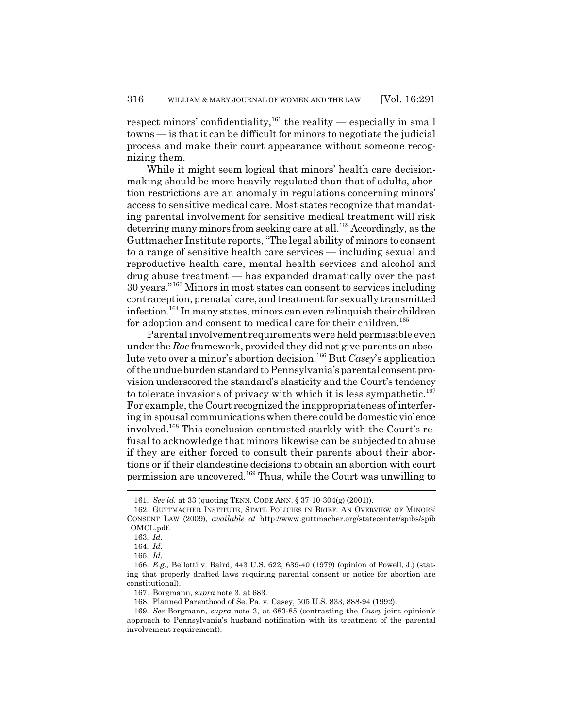respect minors' confidentiality,  $^{161}$  the reality — especially in small towns — is that it can be difficult for minors to negotiate the judicial process and make their court appearance without someone recognizing them.

While it might seem logical that minors' health care decisionmaking should be more heavily regulated than that of adults, abortion restrictions are an anomaly in regulations concerning minors' access to sensitive medical care. Most states recognize that mandating parental involvement for sensitive medical treatment will risk deterring many minors from seeking care at all.<sup>162</sup> Accordingly, as the Guttmacher Institute reports, "The legal ability of minors to consent to a range of sensitive health care services — including sexual and reproductive health care, mental health services and alcohol and drug abuse treatment — has expanded dramatically over the past 30 years."163 Minors in most states can consent to services including contraception, prenatal care, and treatment for sexually transmitted infection.164 In many states, minors can even relinquish their children for adoption and consent to medical care for their children.<sup>165</sup>

Parental involvement requirements were held permissible even under the *Roe* framework, provided they did not give parents an absolute veto over a minor's abortion decision.166 But *Casey*'s application of the undue burden standard to Pennsylvania's parental consent provision underscored the standard's elasticity and the Court's tendency to tolerate invasions of privacy with which it is less sympathetic.<sup>167</sup> For example, the Court recognized the inappropriateness of interfering in spousal communications when there could be domestic violence involved.168 This conclusion contrasted starkly with the Court's refusal to acknowledge that minors likewise can be subjected to abuse if they are either forced to consult their parents about their abortions or if their clandestine decisions to obtain an abortion with court permission are uncovered.169 Thus, while the Court was unwilling to

<sup>161.</sup> *See id.* at 33 (quoting TENN. CODE ANN. § 37-10-304(g) (2001)).

<sup>162.</sup> GUTTMACHER INSTITUTE, STATE POLICIES IN BRIEF: AN OVERVIEW OF MINORS' CONSENT LAW (2009), *available at* http://www.guttmacher.org/statecenter/spibs/spib \_OMCL.pdf.

<sup>163.</sup> *Id.*

<sup>164.</sup> *Id.*

<sup>165.</sup> *Id.*

<sup>166.</sup> *E.g.*, Bellotti v. Baird, 443 U.S. 622, 639-40 (1979) (opinion of Powell, J.) (stating that properly drafted laws requiring parental consent or notice for abortion are constitutional).

<sup>167.</sup> Borgmann, *supra* note 3, at 683.

<sup>168.</sup> Planned Parenthood of Se. Pa. v. Casey, 505 U.S. 833, 888-94 (1992).

<sup>169.</sup> *See* Borgmann, *supra* note 3, at 683-85 (contrasting the *Casey* joint opinion's approach to Pennsylvania's husband notification with its treatment of the parental involvement requirement).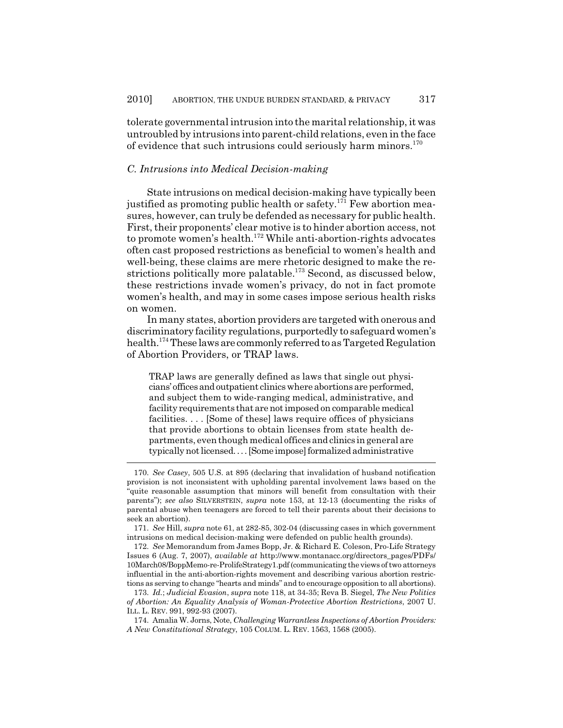tolerate governmental intrusion into the marital relationship, it was untroubled by intrusions into parent-child relations, even in the face of evidence that such intrusions could seriously harm minors.<sup>170</sup>

#### *C. Intrusions into Medical Decision-making*

State intrusions on medical decision-making have typically been justified as promoting public health or safety.<sup>171</sup> Few abortion measures, however, can truly be defended as necessary for public health. First, their proponents' clear motive is to hinder abortion access, not to promote women's health.172 While anti-abortion-rights advocates often cast proposed restrictions as beneficial to women's health and well-being, these claims are mere rhetoric designed to make the restrictions politically more palatable.<sup>173</sup> Second, as discussed below, these restrictions invade women's privacy, do not in fact promote women's health, and may in some cases impose serious health risks on women.

In many states, abortion providers are targeted with onerous and discriminatory facility regulations, purportedly to safeguard women's health.<sup>174</sup> These laws are commonly referred to as Targeted Regulation of Abortion Providers, or TRAP laws.

TRAP laws are generally defined as laws that single out physicians' offices and outpatient clinics where abortions are performed, and subject them to wide-ranging medical, administrative, and facility requirements that are not imposed on comparable medical facilities. . . . [Some of these] laws require offices of physicians that provide abortions to obtain licenses from state health departments, even though medical offices and clinics in general are typically not licensed. . . . [Some impose] formalized administrative

<sup>170.</sup> *See Casey*, 505 U.S. at 895 (declaring that invalidation of husband notification provision is not inconsistent with upholding parental involvement laws based on the "quite reasonable assumption that minors will benefit from consultation with their parents"); *see also* SILVERSTEIN, *supra* note 153, at 12-13 (documenting the risks of parental abuse when teenagers are forced to tell their parents about their decisions to seek an abortion).

<sup>171.</sup> *See* Hill, *supra* note 61, at 282-85, 302-04 (discussing cases in which government intrusions on medical decision-making were defended on public health grounds).

<sup>172.</sup> *See* Memorandum from James Bopp, Jr. & Richard E. Coleson, Pro-Life Strategy Issues 6 (Aug. 7, 2007), *available at* http://www.montanacc.org/directors\_pages/PDFs/ 10March08/BoppMemo-re-ProlifeStrategy1.pdf (communicating the views of two attorneys influential in the anti-abortion-rights movement and describing various abortion restrictions as serving to change "hearts and minds" and to encourage opposition to all abortions).

<sup>173.</sup> *Id.*; *Judicial Evasion*, *supra* note 118, at 34-35; Reva B. Siegel, *The New Politics of Abortion: An Equality Analysis of Woman-Protective Abortion Restrictions*, 2007 U. ILL. L. REV. 991, 992-93 (2007).

<sup>174.</sup> Amalia W. Jorns, Note, *Challenging Warrantless Inspections of Abortion Providers: A New Constitutional Strategy*, 105 COLUM. L. REV. 1563, 1568 (2005).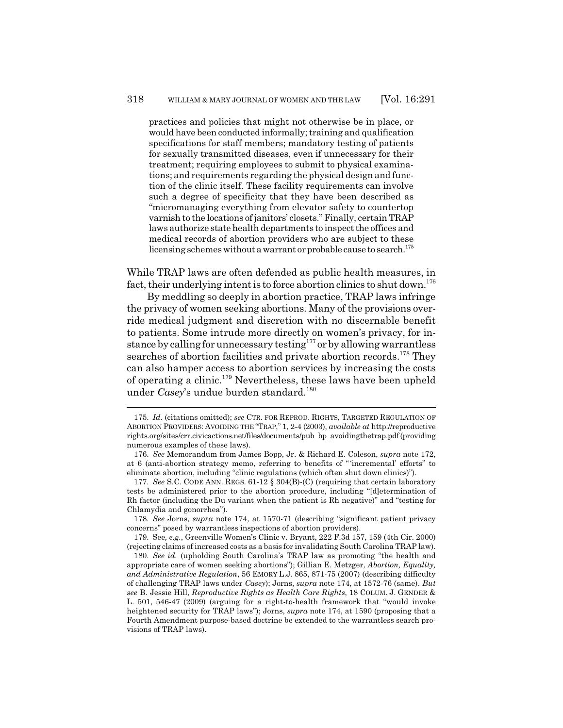practices and policies that might not otherwise be in place, or would have been conducted informally; training and qualification specifications for staff members; mandatory testing of patients for sexually transmitted diseases, even if unnecessary for their treatment; requiring employees to submit to physical examinations; and requirements regarding the physical design and function of the clinic itself. These facility requirements can involve such a degree of specificity that they have been described as "micromanaging everything from elevator safety to countertop varnish to the locations of janitors' closets." Finally, certain TRAP laws authorize state health departments to inspect the offices and medical records of abortion providers who are subject to these licensing schemes without a warrant or probable cause to search.<sup>175</sup>

While TRAP laws are often defended as public health measures, in fact, their underlying intent is to force abortion clinics to shut down.<sup>176</sup>

By meddling so deeply in abortion practice, TRAP laws infringe the privacy of women seeking abortions. Many of the provisions override medical judgment and discretion with no discernable benefit to patients. Some intrude more directly on women's privacy, for instance by calling for unnecessary testing<sup>177</sup> or by allowing warrantless searches of abortion facilities and private abortion records.<sup>178</sup> They can also hamper access to abortion services by increasing the costs of operating a clinic.179 Nevertheless, these laws have been upheld under *Casey*'s undue burden standard.<sup>180</sup>

179. See*, e.g.*, Greenville Women's Clinic v. Bryant, 222 F.3d 157, 159 (4th Cir. 2000) (rejecting claims of increased costs as a basis for invalidating South Carolina TRAP law).

<sup>175.</sup> *Id.* (citations omitted); *see* CTR. FOR REPROD. RIGHTS, TARGETED REGULATION OF ABORTION PROVIDERS: AVOIDING THE "TRAP," 1, 2-4 (2003), *available at* http://reproductive rights.org/sites/crr.civicactions.net/files/documents/pub\_bp\_avoidingthetrap.pdf (providing numerous examples of these laws).

<sup>176.</sup> *See* Memorandum from James Bopp, Jr. & Richard E. Coleson, *supra* note 172, at 6 (anti-abortion strategy memo, referring to benefits of " 'incremental' efforts" to eliminate abortion, including "clinic regulations (which often shut down clinics)").

<sup>177.</sup> *See* S.C. CODE ANN. REGS. 61-12 § 304(B)-(C) (requiring that certain laboratory tests be administered prior to the abortion procedure, including "[d]etermination of Rh factor (including the Du variant when the patient is Rh negative)" and "testing for Chlamydia and gonorrhea").

<sup>178.</sup> *See* Jorns, *supra* note 174, at 1570-71 (describing "significant patient privacy concerns" posed by warrantless inspections of abortion providers).

<sup>180.</sup> *See id.* (upholding South Carolina's TRAP law as promoting "the health and appropriate care of women seeking abortions"); Gillian E. Metzger, *Abortion, Equality, and Administrative Regulation*, 56 EMORY L.J. 865, 871-75 (2007) (describing difficulty of challenging TRAP laws under *Casey*); Jorns, *supra* note 174, at 1572-76 (same). *But see* B. Jessie Hill, *Reproductive Rights as Health Care Rights*, 18 COLUM. J. GENDER & L. 501, 546-47 (2009) (arguing for a right-to-health framework that "would invoke heightened security for TRAP laws"); Jorns, *supra* note 174, at 1590 (proposing that a Fourth Amendment purpose-based doctrine be extended to the warrantless search provisions of TRAP laws).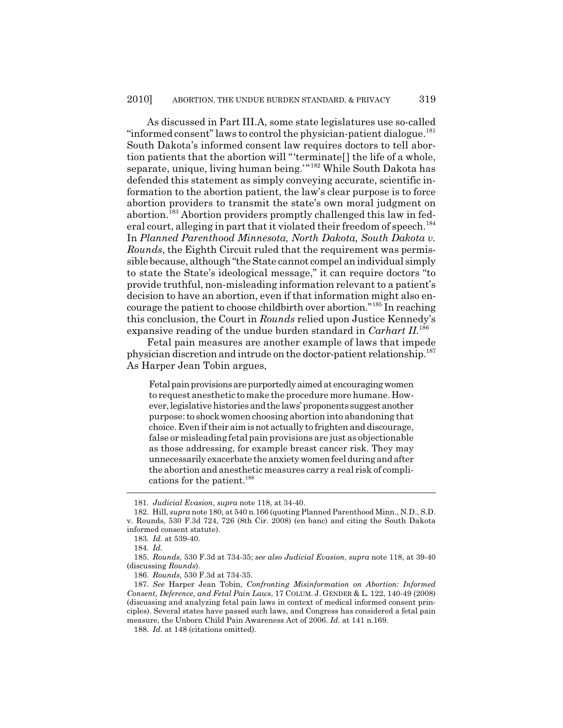As discussed in Part III.A, some state legislatures use so-called "informed consent" laws to control the physician-patient dialogue.<sup>181</sup> South Dakota's informed consent law requires doctors to tell abortion patients that the abortion will "'terminate[] the life of a whole, separate, unique, living human being.'"182 While South Dakota has defended this statement as simply conveying accurate, scientific information to the abortion patient, the law's clear purpose is to force abortion providers to transmit the state's own moral judgment on abortion.183 Abortion providers promptly challenged this law in federal court, alleging in part that it violated their freedom of speech.<sup>184</sup> In *Planned Parenthood Minnesota, North Dakota, South Dakota v. Rounds*, the Eighth Circuit ruled that the requirement was permissible because, although "the State cannot compel an individual simply to state the State's ideological message," it can require doctors "to provide truthful, non-misleading information relevant to a patient's decision to have an abortion, even if that information might also encourage the patient to choose childbirth over abortion."185 In reaching this conclusion, the Court in *Rounds* relied upon Justice Kennedy's expansive reading of the undue burden standard in *Carhart II*. 186

Fetal pain measures are another example of laws that impede physician discretion and intrude on the doctor-patient relationship.187 As Harper Jean Tobin argues,

Fetal pain provisions are purportedly aimed at encouraging women to request anesthetic to make the procedure more humane. However, legislative histories and the laws' proponents suggest another purpose: to shock women choosing abortion into abandoning that choice. Even if their aim is not actually to frighten and discourage, false or misleading fetal pain provisions are just as objectionable as those addressing, for example breast cancer risk. They may unnecessarily exacerbate the anxiety women feel during and after the abortion and anesthetic measures carry a real risk of complications for the patient.<sup>188</sup>

<sup>181.</sup> *Judicial Evasion*, *supra* note 118, at 34-40.

<sup>182.</sup> Hill, *supra* note 180, at 540 n.166 (quoting Planned Parenthood Minn., N.D., S.D. v. Rounds, 530 F.3d 724, 726 (8th Cir. 2008) (en banc) and citing the South Dakota informed consent statute).

<sup>183.</sup> *Id.* at 539-40.

<sup>184.</sup> *Id.*

<sup>185.</sup> *Rounds*, 530 F.3d at 734-35; *see also Judicial Evasion*, *supra* note 118, at 39-40 (discussing *Rounds*).

<sup>186.</sup> *Rounds*, 530 F.3d at 734-35.

<sup>187.</sup> *See* Harper Jean Tobin, *Confronting Misinformation on Abortion: Informed Consent, Deference, and Fetal Pain Laws*, 17 COLUM. J. GENDER & L. 122, 140-49 (2008) (discussing and analyzing fetal pain laws in context of medical informed consent principles). Several states have passed such laws, and Congress has considered a fetal pain measure, the Unborn Child Pain Awareness Act of 2006. *Id.* at 141 n.169.

<sup>188.</sup> *Id.* at 148 (citations omitted).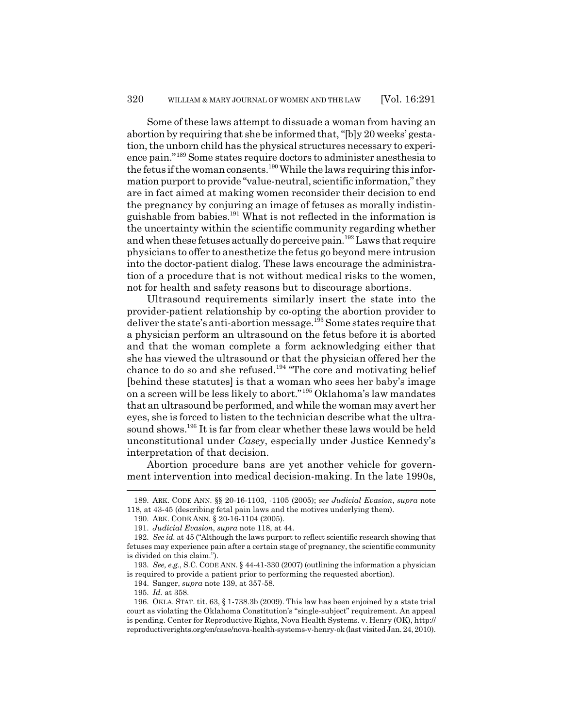Some of these laws attempt to dissuade a woman from having an abortion by requiring that she be informed that, "[b]y 20 weeks' gestation, the unborn child has the physical structures necessary to experience pain."189 Some states require doctors to administer anesthesia to the fetus if the woman consents.<sup>190</sup> While the laws requiring this information purport to provide "value-neutral, scientific information," they are in fact aimed at making women reconsider their decision to end the pregnancy by conjuring an image of fetuses as morally indistinguishable from babies.191 What is not reflected in the information is the uncertainty within the scientific community regarding whether and when these fetuses actually do perceive pain.192 Laws that require physicians to offer to anesthetize the fetus go beyond mere intrusion into the doctor-patient dialog. These laws encourage the administration of a procedure that is not without medical risks to the women, not for health and safety reasons but to discourage abortions.

Ultrasound requirements similarly insert the state into the provider-patient relationship by co-opting the abortion provider to deliver the state's anti-abortion message.<sup>193</sup> Some states require that a physician perform an ultrasound on the fetus before it is aborted and that the woman complete a form acknowledging either that she has viewed the ultrasound or that the physician offered her the chance to do so and she refused.<sup>194</sup> "The core and motivating belief [behind these statutes] is that a woman who sees her baby's image on a screen will be less likely to abort."195 Oklahoma's law mandates that an ultrasound be performed, and while the woman may avert her eyes, she is forced to listen to the technician describe what the ultrasound shows.<sup>196</sup> It is far from clear whether these laws would be held unconstitutional under *Casey*, especially under Justice Kennedy's interpretation of that decision.

Abortion procedure bans are yet another vehicle for government intervention into medical decision-making. In the late 1990s,

194. Sanger, *supra* note 139, at 357-58.

<sup>189.</sup> ARK. CODE ANN. §§ 20-16-1103, -1105 (2005); *see Judicial Evasion*, *supra* note 118, at 43-45 (describing fetal pain laws and the motives underlying them).

<sup>190.</sup> ARK. CODE ANN. § 20-16-1104 (2005).

<sup>191.</sup> *Judicial Evasion*, *supra* note 118, at 44.

<sup>192.</sup> *See id.* at 45 ("Although the laws purport to reflect scientific research showing that fetuses may experience pain after a certain stage of pregnancy, the scientific community is divided on this claim.").

<sup>193.</sup> *See, e.g.*, S.C. CODE ANN. § 44-41-330 (2007) (outlining the information a physician is required to provide a patient prior to performing the requested abortion).

<sup>195.</sup> *Id.* at 358.

<sup>196.</sup> OKLA. STAT. tit. 63, § 1-738.3b (2009). This law has been enjoined by a state trial court as violating the Oklahoma Constitution's "single-subject" requirement. An appeal is pending. Center for Reproductive Rights, Nova Health Systems. v. Henry (OK), http:// reproductiverights.org/en/case/nova-health-systems-v-henry-ok (last visited Jan. 24, 2010).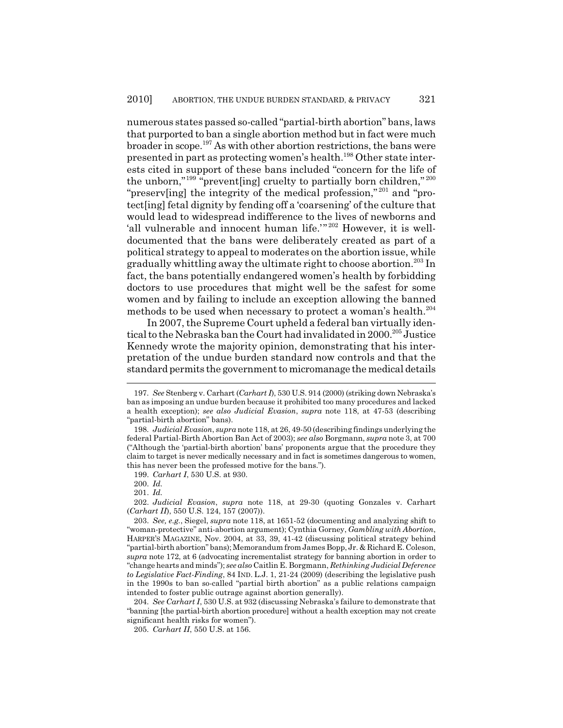numerous states passed so-called "partial-birth abortion" bans, laws that purported to ban a single abortion method but in fact were much broader in scope.197 As with other abortion restrictions, the bans were presented in part as protecting women's health.198 Other state interests cited in support of these bans included "concern for the life of the unborn," $199\degree$ "prevent[ing] cruelty to partially born children," $200\degree$ "preserv[ing] the integrity of the medical profession,"<sup>201</sup> and "protect[ing] fetal dignity by fending off a 'coarsening' of the culture that would lead to widespread indifference to the lives of newborns and 'all vulnerable and innocent human life.'"<sup>202</sup> However, it is welldocumented that the bans were deliberately created as part of a political strategy to appeal to moderates on the abortion issue, while gradually whittling away the ultimate right to choose abortion.<sup>203</sup> In fact, the bans potentially endangered women's health by forbidding doctors to use procedures that might well be the safest for some women and by failing to include an exception allowing the banned methods to be used when necessary to protect a woman's health.<sup>204</sup>

In 2007, the Supreme Court upheld a federal ban virtually identical to the Nebraska ban the Court had invalidated in 2000.205 Justice Kennedy wrote the majority opinion, demonstrating that his interpretation of the undue burden standard now controls and that the standard permits the government to micromanage the medical details

204. *See Carhart I*, 530 U.S. at 932 (discussing Nebraska's failure to demonstrate that "banning [the partial-birth abortion procedure] without a health exception may not create significant health risks for women").

205. *Carhart II*, 550 U.S. at 156.

<sup>197.</sup> *See* Stenberg v. Carhart (*Carhart I*), 530 U.S. 914 (2000) (striking down Nebraska's ban as imposing an undue burden because it prohibited too many procedures and lacked a health exception); *see also Judicial Evasion*, *supra* note 118, at 47-53 (describing "partial-birth abortion" bans).

<sup>198.</sup> *Judicial Evasion*, *supra* note 118, at 26, 49-50 (describing findings underlying the federal Partial-Birth Abortion Ban Act of 2003); *see also* Borgmann, *supra* note 3, at 700 ("Although the 'partial-birth abortion' bans' proponents argue that the procedure they claim to target is never medically necessary and in fact is sometimes dangerous to women, this has never been the professed motive for the bans.").

<sup>199.</sup> *Carhart I*, 530 U.S. at 930.

<sup>200.</sup> *Id.*

<sup>201.</sup> *Id.*

<sup>202.</sup> *Judicial Evasion*, *supra* note 118, at 29-30 (quoting Gonzales v. Carhart (*Carhart II*), 550 U.S. 124, 157 (2007)).

<sup>203.</sup> *See, e.g.*, Siegel, *supra* note 118, at 1651-52 (documenting and analyzing shift to "woman-protective" anti-abortion argument); Cynthia Gorney, *Gambling with Abortion*, HARPER'S MAGAZINE, Nov. 2004, at 33, 39, 41-42 (discussing political strategy behind "partial-birth abortion" bans); Memorandum from James Bopp, Jr. & Richard E. Coleson, *supra* note 172, at 6 (advocating incrementalist strategy for banning abortion in order to "change hearts and minds"); *see also* Caitlin E. Borgmann, *Rethinking Judicial Deference to Legislative Fact-Finding*, 84 IND. L.J. 1, 21-24 (2009) (describing the legislative push in the 1990s to ban so-called "partial birth abortion" as a public relations campaign intended to foster public outrage against abortion generally).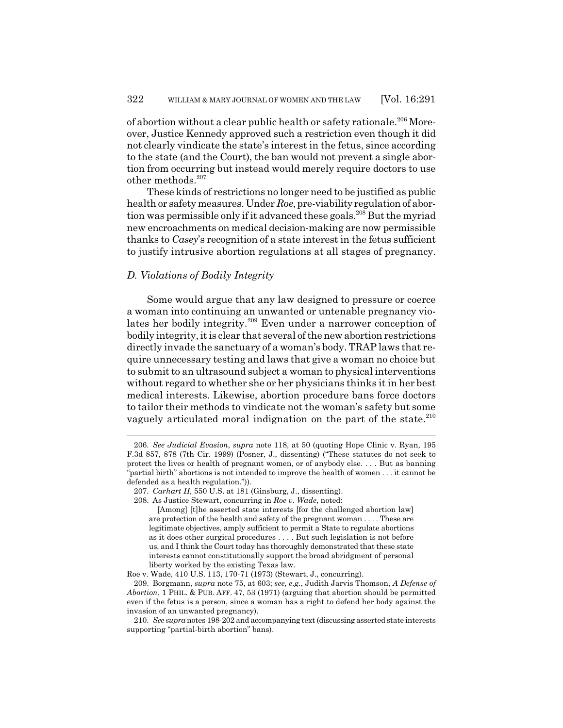of abortion without a clear public health or safety rationale.206 Moreover, Justice Kennedy approved such a restriction even though it did not clearly vindicate the state's interest in the fetus, since according to the state (and the Court), the ban would not prevent a single abortion from occurring but instead would merely require doctors to use other methods.<sup>207</sup>

These kinds of restrictions no longer need to be justified as public health or safety measures. Under *Roe*, pre-viability regulation of abortion was permissible only if it advanced these goals.<sup>208</sup> But the myriad new encroachments on medical decision-making are now permissible thanks to *Casey*'s recognition of a state interest in the fetus sufficient to justify intrusive abortion regulations at all stages of pregnancy.

#### *D. Violations of Bodily Integrity*

Some would argue that any law designed to pressure or coerce a woman into continuing an unwanted or untenable pregnancy violates her bodily integrity.209 Even under a narrower conception of bodily integrity, it is clear that several of the new abortion restrictions directly invade the sanctuary of a woman's body. TRAP laws that require unnecessary testing and laws that give a woman no choice but to submit to an ultrasound subject a woman to physical interventions without regard to whether she or her physicians thinks it in her best medical interests. Likewise, abortion procedure bans force doctors to tailor their methods to vindicate not the woman's safety but some vaguely articulated moral indignation on the part of the state.<sup>210</sup>

<sup>206.</sup> *See Judicial Evasion*, *supra* note 118, at 50 (quoting Hope Clinic v. Ryan, 195 F.3d 857, 878 (7th Cir. 1999) (Posner, J., dissenting) ("These statutes do not seek to protect the lives or health of pregnant women, or of anybody else. . . . But as banning "partial birth" abortions is not intended to improve the health of women . . . it cannot be defended as a health regulation.")).

<sup>207.</sup> *Carhart II*, 550 U.S. at 181 (Ginsburg, J., dissenting).

<sup>208.</sup> As Justice Stewart, concurring in *Roe v. Wade*, noted:

<sup>[</sup>Among] [t]he asserted state interests [for the challenged abortion law] are protection of the health and safety of the pregnant woman . . . . These are legitimate objectives, amply sufficient to permit a State to regulate abortions as it does other surgical procedures . . . . But such legislation is not before us, and I think the Court today has thoroughly demonstrated that these state interests cannot constitutionally support the broad abridgment of personal liberty worked by the existing Texas law.

Roe v. Wade, 410 U.S. 113, 170-71 (1973) (Stewart, J., concurring).

<sup>209.</sup> Borgmann, *supra* note 75, at 603; *see, e.g.*, Judith Jarvis Thomson, *A Defense of Abortion*, 1 PHIL. & PUB. AFF. 47, 53 (1971) (arguing that abortion should be permitted even if the fetus is a person, since a woman has a right to defend her body against the invasion of an unwanted pregnancy).

<sup>210.</sup> *See supra* notes 198-202 and accompanying text (discussing asserted state interests supporting "partial-birth abortion" bans).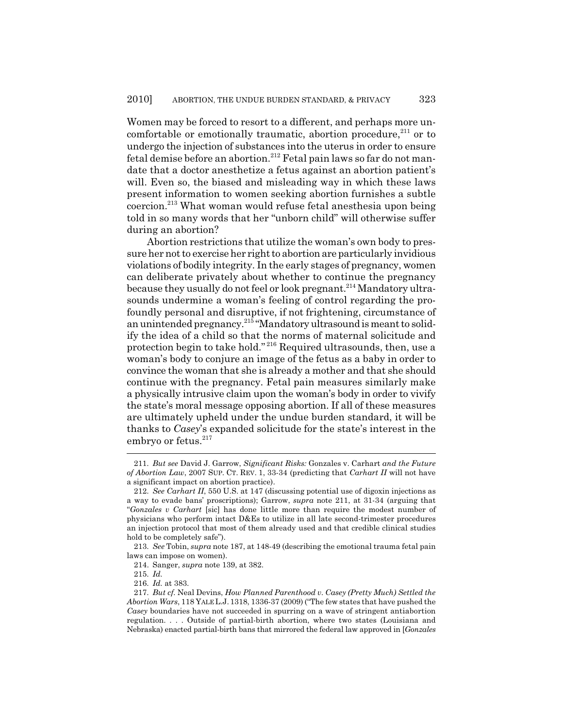Women may be forced to resort to a different, and perhaps more uncomfortable or emotionally traumatic, abortion procedure, $211$  or to undergo the injection of substances into the uterus in order to ensure fetal demise before an abortion.212 Fetal pain laws so far do not mandate that a doctor anesthetize a fetus against an abortion patient's will. Even so, the biased and misleading way in which these laws present information to women seeking abortion furnishes a subtle coercion.213 What woman would refuse fetal anesthesia upon being told in so many words that her "unborn child" will otherwise suffer during an abortion?

Abortion restrictions that utilize the woman's own body to pressure her not to exercise her right to abortion are particularly invidious violations of bodily integrity. In the early stages of pregnancy, women can deliberate privately about whether to continue the pregnancy because they usually do not feel or look pregnant.<sup>214</sup> Mandatory ultrasounds undermine a woman's feeling of control regarding the profoundly personal and disruptive, if not frightening, circumstance of an unintended pregnancy.<sup>215</sup> "Mandatory ultrasound is meant to solidify the idea of a child so that the norms of maternal solicitude and protection begin to take hold." 216 Required ultrasounds, then, use a woman's body to conjure an image of the fetus as a baby in order to convince the woman that she is already a mother and that she should continue with the pregnancy. Fetal pain measures similarly make a physically intrusive claim upon the woman's body in order to vivify the state's moral message opposing abortion. If all of these measures are ultimately upheld under the undue burden standard, it will be thanks to *Casey*'s expanded solicitude for the state's interest in the embryo or fetus.<sup>217</sup>

<sup>211.</sup> *But see* David J. Garrow, *Significant Risks:* Gonzales v. Carhart *and the Future of Abortion Law*, 2007 SUP. CT. REV. 1, 33-34 (predicting that *Carhart II* will not have a significant impact on abortion practice).

<sup>212.</sup> *See Carhart II*, 550 U.S. at 147 (discussing potential use of digoxin injections as a way to evade bans' proscriptions); Garrow, *supra* note 211, at 31-34 (arguing that "*Gonzales v Carhart* [sic] has done little more than require the modest number of physicians who perform intact D&Es to utilize in all late second-trimester procedures an injection protocol that most of them already used and that credible clinical studies hold to be completely safe").

<sup>213.</sup> *See* Tobin, *supra* note 187, at 148-49 (describing the emotional trauma fetal pain laws can impose on women).

<sup>214.</sup> Sanger, *supra* note 139, at 382.

<sup>215.</sup> *Id.*

<sup>216.</sup> *Id.* at 383.

<sup>217.</sup> *But cf.* Neal Devins, *How Planned Parenthood v. Casey (Pretty Much) Settled the Abortion Wars*, 118 YALE L.J. 1318, 1336-37 (2009) ("The few states that have pushed the *Casey* boundaries have not succeeded in spurring on a wave of stringent antiabortion regulation. . . . Outside of partial-birth abortion, where two states (Louisiana and Nebraska) enacted partial-birth bans that mirrored the federal law approved in [*Gonzales*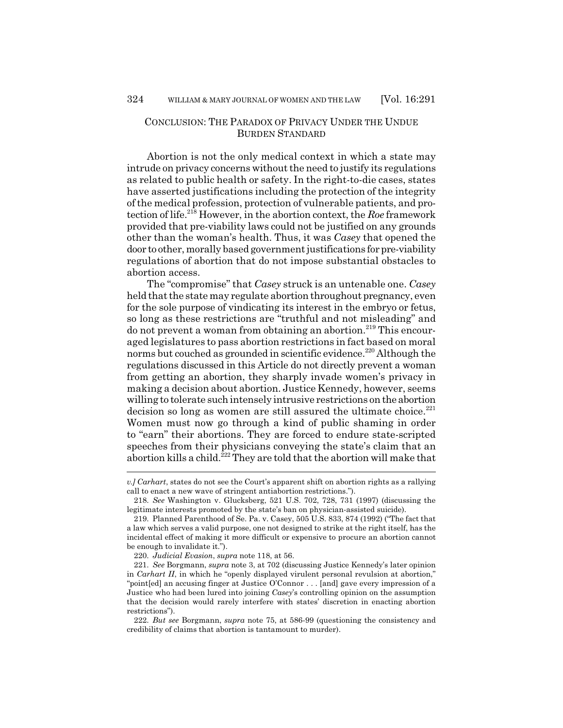# CONCLUSION: THE PARADOX OF PRIVACY UNDER THE UNDUE BURDEN STANDARD

Abortion is not the only medical context in which a state may intrude on privacy concerns without the need to justify its regulations as related to public health or safety. In the right-to-die cases, states have asserted justifications including the protection of the integrity of the medical profession, protection of vulnerable patients, and protection of life.218 However, in the abortion context, the *Roe* framework provided that pre-viability laws could not be justified on any grounds other than the woman's health. Thus, it was *Casey* that opened the door to other, morally based government justifications for pre-viability regulations of abortion that do not impose substantial obstacles to abortion access.

The "compromise" that *Casey* struck is an untenable one. *Casey* held that the state may regulate abortion throughout pregnancy, even for the sole purpose of vindicating its interest in the embryo or fetus, so long as these restrictions are "truthful and not misleading" and do not prevent a woman from obtaining an abortion.<sup>219</sup> This encouraged legislatures to pass abortion restrictions in fact based on moral norms but couched as grounded in scientific evidence.<sup>220</sup> Although the regulations discussed in this Article do not directly prevent a woman from getting an abortion, they sharply invade women's privacy in making a decision about abortion. Justice Kennedy, however, seems willing to tolerate such intensely intrusive restrictions on the abortion decision so long as women are still assured the ultimate choice. $^{221}$ Women must now go through a kind of public shaming in order to "earn" their abortions. They are forced to endure state-scripted speeches from their physicians conveying the state's claim that an abortion kills a child.<sup>222</sup> They are told that the abortion will make that

*v.] Carhart*, states do not see the Court's apparent shift on abortion rights as a rallying call to enact a new wave of stringent antiabortion restrictions.").

<sup>218.</sup> *See* Washington v. Glucksberg, 521 U.S. 702, 728, 731 (1997) (discussing the legitimate interests promoted by the state's ban on physician-assisted suicide).

<sup>219.</sup> Planned Parenthood of Se. Pa. v. Casey, 505 U.S. 833, 874 (1992) ("The fact that a law which serves a valid purpose, one not designed to strike at the right itself, has the incidental effect of making it more difficult or expensive to procure an abortion cannot be enough to invalidate it.").

<sup>220.</sup> *Judicial Evasion*, *supra* note 118, at 56.

<sup>221.</sup> *See* Borgmann, *supra* note 3, at 702 (discussing Justice Kennedy's later opinion in *Carhart II*, in which he "openly displayed virulent personal revulsion at abortion," "point[ed] an accusing finger at Justice O'Connor . . . [and] gave every impression of a Justice who had been lured into joining *Casey*'s controlling opinion on the assumption that the decision would rarely interfere with states' discretion in enacting abortion restrictions").

<sup>222.</sup> *But see* Borgmann, *supra* note 75, at 586-99 (questioning the consistency and credibility of claims that abortion is tantamount to murder).